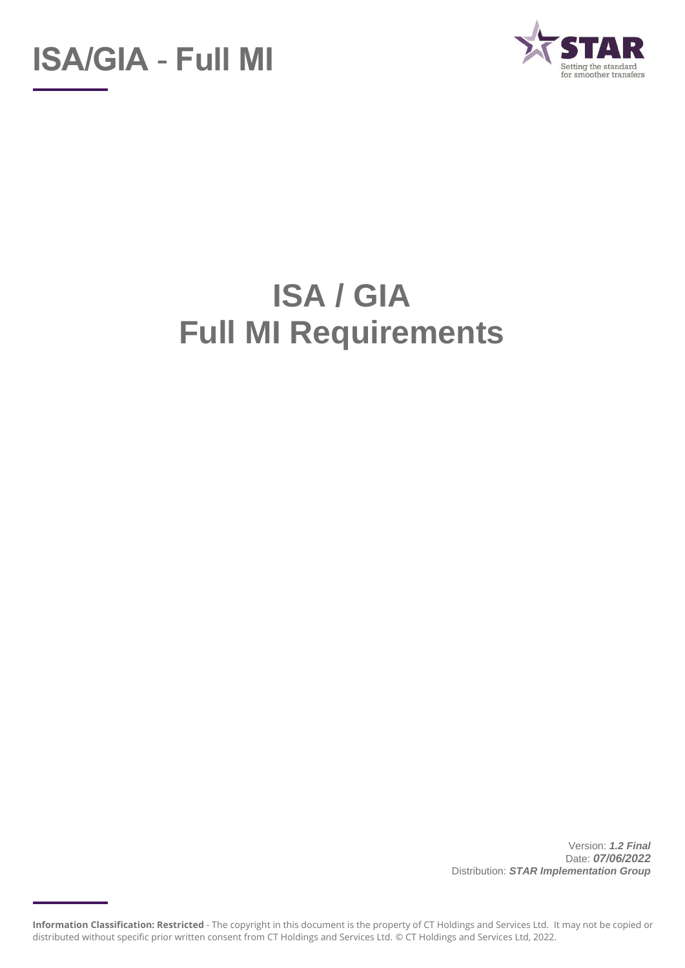



# **ISA / GIA Full MI Requirements**

Version: *1.2 Final* Date: *07/06/2022* Distribution: *STAR Implementation Group*

**Information Classification: Restricted** - The copyright in this document is the property of CT Holdings and Services Ltd. It may not be copied or distributed without specific prior written consent from CT Holdings and Services Ltd. © CT Holdings and Services Ltd, 2022.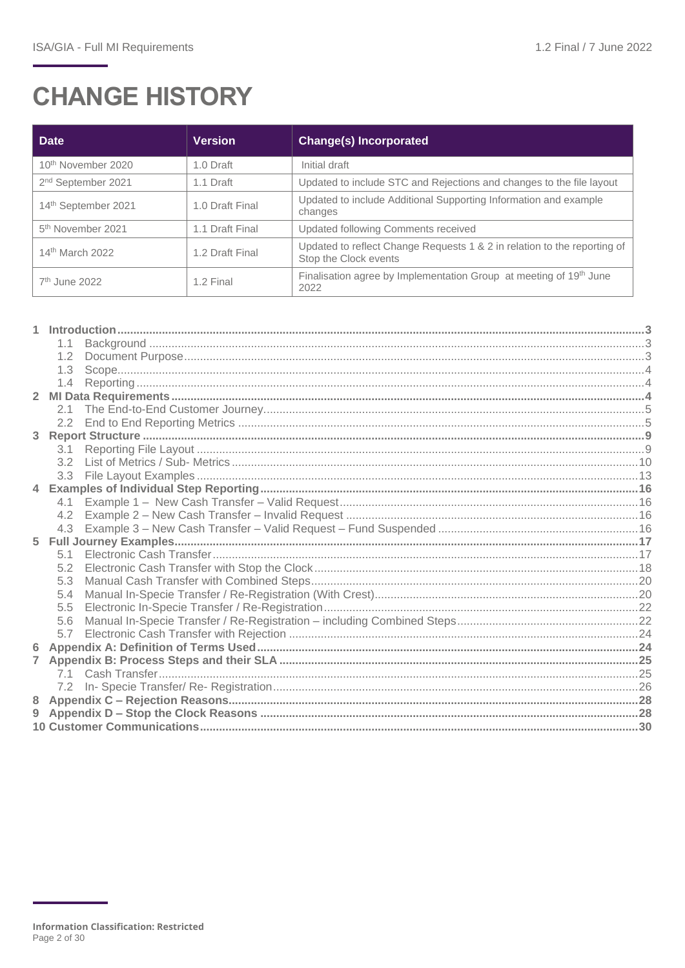## **CHANGE HISTORY**

| <b>Date</b>                    | <b>Version</b>  | <b>Change(s) Incorporated</b>                                                                     |
|--------------------------------|-----------------|---------------------------------------------------------------------------------------------------|
| 10 <sup>th</sup> November 2020 | 1.0 Draft       | Initial draft                                                                                     |
| 2 <sup>nd</sup> September 2021 | 1.1 Draft       | Updated to include STC and Rejections and changes to the file layout                              |
| 14th September 2021            | 1.0 Draft Final | Updated to include Additional Supporting Information and example<br>changes                       |
| 5 <sup>th</sup> November 2021  | 1.1 Draft Final | Updated following Comments received                                                               |
| 14 <sup>th</sup> March 2022    | 1.2 Draft Final | Updated to reflect Change Requests 1 & 2 in relation to the reporting of<br>Stop the Clock events |
| $7th$ June 2022                | 1.2 Final       | Finalisation agree by Implementation Group at meeting of 19th June<br>2022                        |

|                | 1.3 |  |
|----------------|-----|--|
|                | 1.4 |  |
| $\overline{2}$ |     |  |
|                | 2.1 |  |
|                |     |  |
| 3              |     |  |
|                | 3.1 |  |
|                | 3.2 |  |
|                |     |  |
| $\overline{4}$ |     |  |
|                | 4.1 |  |
|                | 4.2 |  |
|                | 4.3 |  |
| 5              |     |  |
|                |     |  |
|                | 5.2 |  |
|                | 5.3 |  |
|                | 5.4 |  |
|                | 5.5 |  |
|                | 5.6 |  |
|                | 5.7 |  |
| 6              |     |  |
| 7              |     |  |
|                |     |  |
|                |     |  |
| 8              |     |  |
| 9              |     |  |
|                |     |  |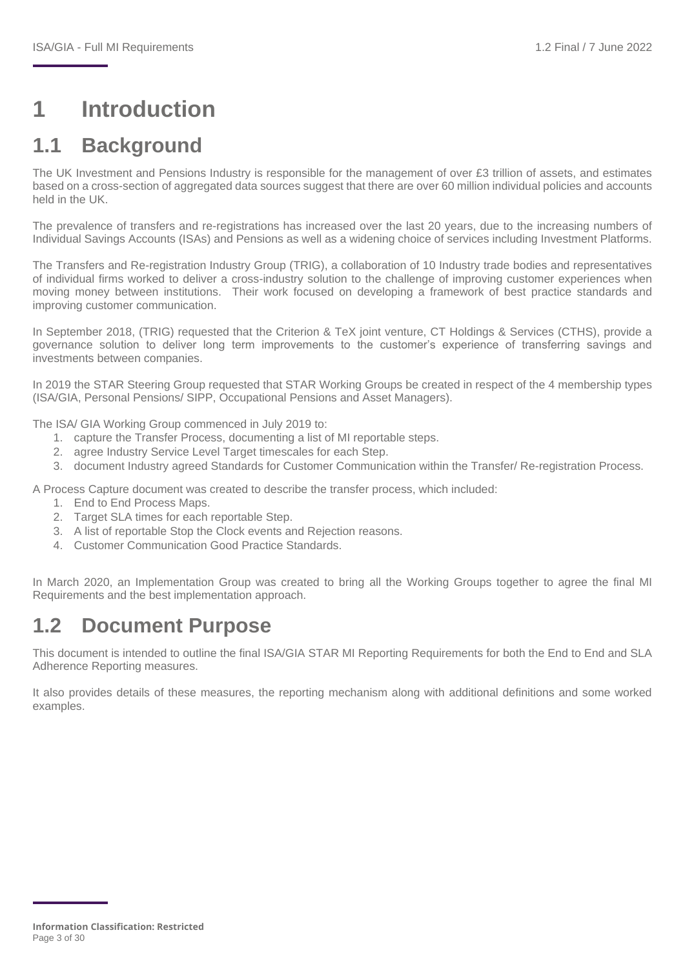## <span id="page-2-0"></span>**1 Introduction**

## <span id="page-2-1"></span>**1.1 Background**

The UK Investment and Pensions Industry is responsible for the management of over £3 trillion of assets, and estimates based on a cross-section of aggregated data sources suggest that there are over 60 million individual policies and accounts held in the UK.

The prevalence of transfers and re-registrations has increased over the last 20 years, due to the increasing numbers of Individual Savings Accounts (ISAs) and Pensions as well as a widening choice of services including Investment Platforms.

The Transfers and Re-registration Industry Group (TRIG), a collaboration of 10 Industry trade bodies and representatives of individual firms worked to deliver a cross-industry solution to the challenge of improving customer experiences when moving money between institutions. Their work focused on developing a framework of best practice standards and improving customer communication.

In September 2018, (TRIG) requested that the Criterion & TeX joint venture, CT Holdings & Services (CTHS), provide a governance solution to deliver long term improvements to the customer's experience of transferring savings and investments between companies.

In 2019 the STAR Steering Group requested that STAR Working Groups be created in respect of the 4 membership types (ISA/GIA, Personal Pensions/ SIPP, Occupational Pensions and Asset Managers).

The ISA/ GIA Working Group commenced in July 2019 to:

- 1. capture the Transfer Process, documenting a list of MI reportable steps.
- 2. agree Industry Service Level Target timescales for each Step.
- 3. document Industry agreed Standards for Customer Communication within the Transfer/ Re-registration Process.

A Process Capture document was created to describe the transfer process, which included:

- 1. End to End Process Maps.
- 2. Target SLA times for each reportable Step.
- 3. A list of reportable Stop the Clock events and Rejection reasons.
- 4. Customer Communication Good Practice Standards.

In March 2020, an Implementation Group was created to bring all the Working Groups together to agree the final MI Requirements and the best implementation approach.

### <span id="page-2-2"></span>**1.2 Document Purpose**

This document is intended to outline the final ISA/GIA STAR MI Reporting Requirements for both the End to End and SLA Adherence Reporting measures.

It also provides details of these measures, the reporting mechanism along with additional definitions and some worked examples.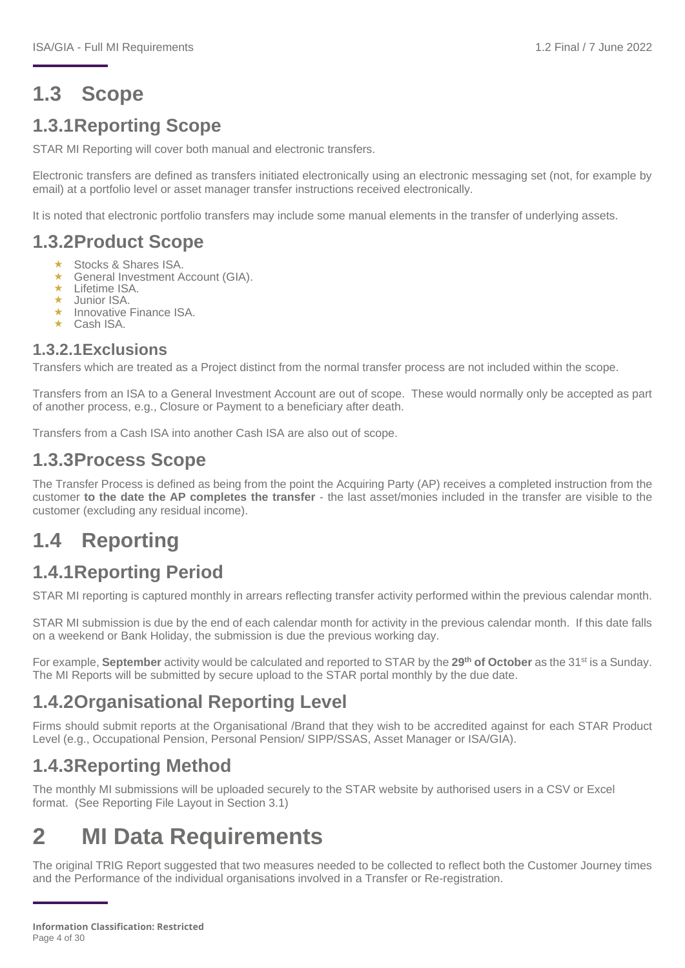## <span id="page-3-0"></span>**1.3 Scope**

### **1.3.1Reporting Scope**

STAR MI Reporting will cover both manual and electronic transfers.

Electronic transfers are defined as transfers initiated electronically using an electronic messaging set (not, for example by email) at a portfolio level or asset manager transfer instructions received electronically.

It is noted that electronic portfolio transfers may include some manual elements in the transfer of underlying assets.

#### **1.3.2Product Scope**

- ★ Stocks & Shares ISA.
- General Investment Account (GIA).
- $\star$  Lifetime ISA.
- Junior ISA.
- $\star$  Innovative Finance ISA.
- $\star$  Cash ISA.

#### **1.3.2.1Exclusions**

Transfers which are treated as a Project distinct from the normal transfer process are not included within the scope.

Transfers from an ISA to a General Investment Account are out of scope. These would normally only be accepted as part of another process, e.g., Closure or Payment to a beneficiary after death.

Transfers from a Cash ISA into another Cash ISA are also out of scope.

#### **1.3.3Process Scope**

The Transfer Process is defined as being from the point the Acquiring Party (AP) receives a completed instruction from the customer **to the date the AP completes the transfer** - the last asset/monies included in the transfer are visible to the customer (excluding any residual income).

### <span id="page-3-1"></span>**1.4 Reporting**

#### **1.4.1Reporting Period**

STAR MI reporting is captured monthly in arrears reflecting transfer activity performed within the previous calendar month.

STAR MI submission is due by the end of each calendar month for activity in the previous calendar month. If this date falls on a weekend or Bank Holiday, the submission is due the previous working day.

For example, **September** activity would be calculated and reported to STAR by the **29th of October** as the 31st is a Sunday. The MI Reports will be submitted by secure upload to the STAR portal monthly by the due date.

#### **1.4.2Organisational Reporting Level**

Firms should submit reports at the Organisational /Brand that they wish to be accredited against for each STAR Product Level (e.g., Occupational Pension, Personal Pension/ SIPP/SSAS, Asset Manager or ISA/GIA).

#### **1.4.3Reporting Method**

The monthly MI submissions will be uploaded securely to the STAR website by authorised users in a CSV or Excel format. (See Reporting File Layout in Section 3.1)

## <span id="page-3-2"></span>**2 MI Data Requirements**

The original TRIG Report suggested that two measures needed to be collected to reflect both the Customer Journey times and the Performance of the individual organisations involved in a Transfer or Re-registration.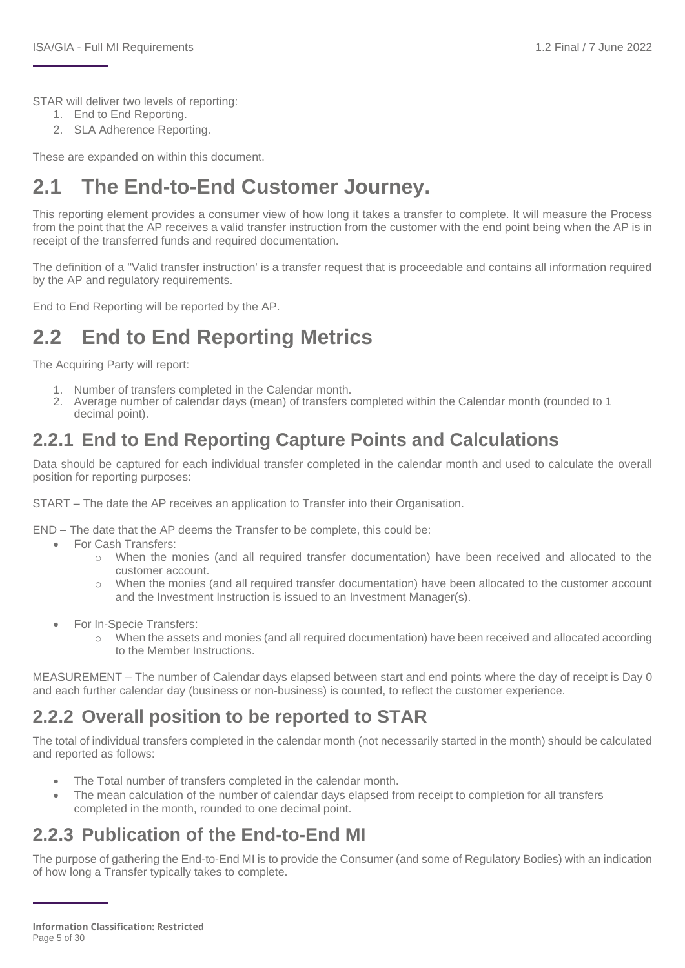STAR will deliver two levels of reporting:

- 1. End to End Reporting.
- 2. SLA Adherence Reporting.

These are expanded on within this document.

## <span id="page-4-0"></span>**2.1 The End-to-End Customer Journey.**

This reporting element provides a consumer view of how long it takes a transfer to complete. It will measure the Process from the point that the AP receives a valid transfer instruction from the customer with the end point being when the AP is in receipt of the transferred funds and required documentation.

The definition of a ''Valid transfer instruction' is a transfer request that is proceedable and contains all information required by the AP and regulatory requirements.

End to End Reporting will be reported by the AP.

## <span id="page-4-1"></span>**2.2 End to End Reporting Metrics**

The Acquiring Party will report:

- 1. Number of transfers completed in the Calendar month.
- 2. Average number of calendar days (mean) of transfers completed within the Calendar month (rounded to 1 decimal point).

### **2.2.1 End to End Reporting Capture Points and Calculations**

Data should be captured for each individual transfer completed in the calendar month and used to calculate the overall position for reporting purposes:

START – The date the AP receives an application to Transfer into their Organisation.

END – The date that the AP deems the Transfer to be complete, this could be:

- For Cash Transfers:
	- $\circ$  When the monies (and all required transfer documentation) have been received and allocated to the customer account.
	- o When the monies (and all required transfer documentation) have been allocated to the customer account and the Investment Instruction is issued to an Investment Manager(s).
- For In-Specie Transfers:
	- o When the assets and monies (and all required documentation) have been received and allocated according to the Member Instructions.

MEASUREMENT – The number of Calendar days elapsed between start and end points where the day of receipt is Day 0 and each further calendar day (business or non-business) is counted, to reflect the customer experience.

### **2.2.2 Overall position to be reported to STAR**

The total of individual transfers completed in the calendar month (not necessarily started in the month) should be calculated and reported as follows:

- The Total number of transfers completed in the calendar month.
- The mean calculation of the number of calendar days elapsed from receipt to completion for all transfers completed in the month, rounded to one decimal point.

#### **2.2.3 Publication of the End-to-End MI**

The purpose of gathering the End-to-End MI is to provide the Consumer (and some of Regulatory Bodies) with an indication of how long a Transfer typically takes to complete.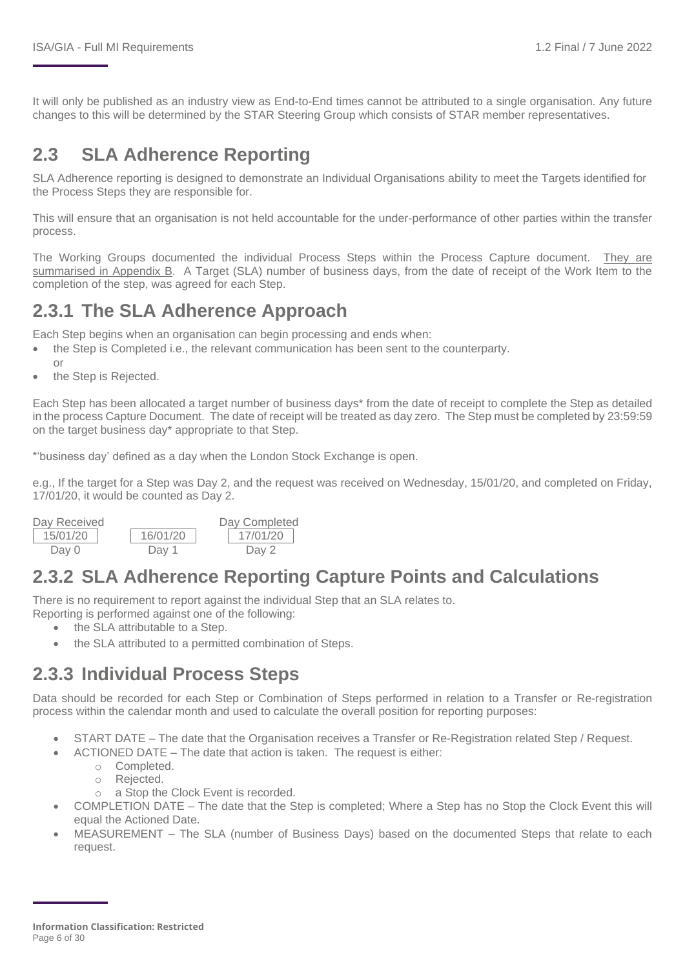It will only be published as an industry view as End-to-End times cannot be attributed to a single organisation. Any future changes to this will be determined by the STAR Steering Group which consists of STAR member representatives.

### **2.3 SLA Adherence Reporting**

SLA Adherence reporting is designed to demonstrate an Individual Organisations ability to meet the Targets identified for the Process Steps they are responsible for.

This will ensure that an organisation is not held accountable for the under-performance of other parties within the transfer process.

The Working Groups documented the individual Process Steps within the Process Capture document. [They are](#page-24-0)  [summarised in Appendix B. A](#page-24-0) Target (SLA) number of business days, from the date of receipt of the Work Item to the completion of the step, was agreed for each Step.

#### **2.3.1 The SLA Adherence Approach**

Each Step begins when an organisation can begin processing and ends when:

- the Step is Completed i.e., the relevant communication has been sent to the counterparty.
- or
- the Step is Rejected.

Each Step has been allocated a target number of business days\* from the date of receipt to complete the Step as detailed in the process Capture Document. The date of receipt will be treated as day zero. The Step must be completed by 23:59:59 on the target business day\* appropriate to that Step.

\*'business day' defined as a day when the London Stock Exchange is open.

e.g., If the target for a Step was Day 2, and the request was received on Wednesday, 15/01/20, and completed on Friday, 17/01/20, it would be counted as Day 2.

| Day Received |          | Day Completed |
|--------------|----------|---------------|
| 15/01/20     | 16/01/20 | 17/01/20      |
| Dav 0        | Dav 1    | Day 2         |

#### **2.3.2 SLA Adherence Reporting Capture Points and Calculations**

There is no requirement to report against the individual Step that an SLA relates to.

Reporting is performed against one of the following:

- the SLA attributable to a Step.
- the SLA attributed to a permitted combination of Steps.

#### **2.3.3 Individual Process Steps**

Data should be recorded for each Step or Combination of Steps performed in relation to a Transfer or Re-registration process within the calendar month and used to calculate the overall position for reporting purposes:

- START DATE The date that the Organisation receives a Transfer or Re-Registration related Step / Request.
- ACTIONED DATE The date that action is taken. The request is either:
	- o Completed.
	- o Rejected.
	- o a Stop the Clock Event is recorded.
- COMPLETION DATE The date that the Step is completed; Where a Step has no Stop the Clock Event this will equal the Actioned Date.
- MEASUREMENT The SLA (number of Business Days) based on the documented Steps that relate to each request.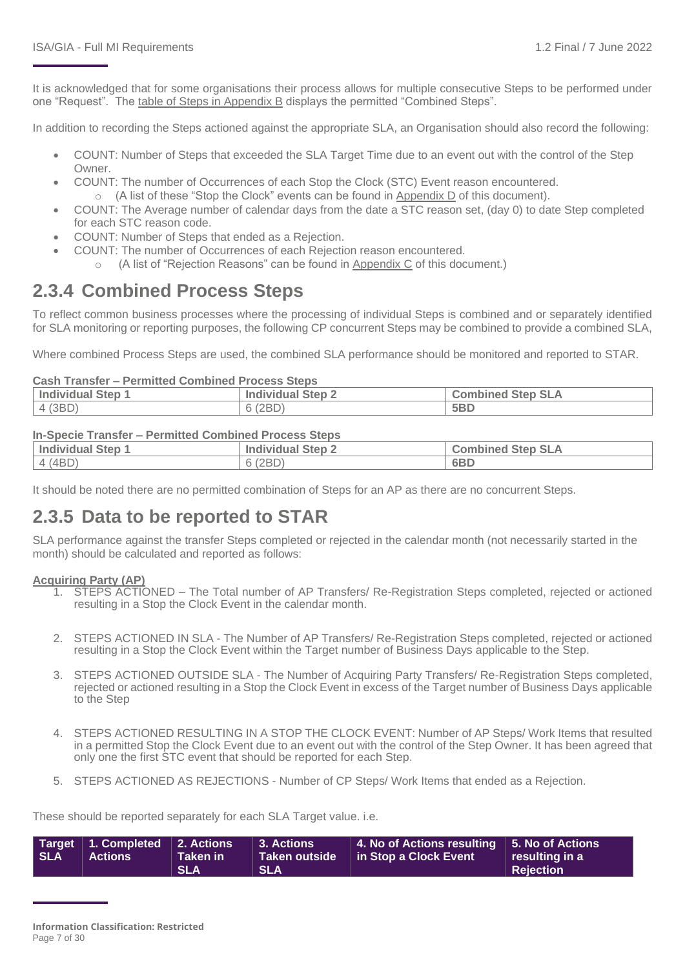It is acknowledged that for some organisations their process allows for multiple consecutive Steps to be performed under one "Request". The [table of Steps in Appendix](#page-24-0) B displays the permitted "Combined Steps".

In addition to recording the Steps actioned against the appropriate SLA, an Organisation should also record the following:

- COUNT: Number of Steps that exceeded the SLA Target Time due to an event out with the control of the Step Owner.
- COUNT: The number of Occurrences of each Stop the Clock (STC) Event reason encountered.  $\circ$  (A list of these "Stop the Clock" events can be found in [Appendix D](#page-28-0) of this document).
- COUNT: The Average number of calendar days from the date a STC reason set, (day 0) to date Step completed for each STC reason code.
- COUNT: Number of Steps that ended as a Rejection.
	- COUNT: The number of Occurrences of each Rejection reason encountered.
		- (A list of "Rejection Reasons" can be found in [Appendix C](#page-27-0) of this document.)

#### **2.3.4 Combined Process Steps**

To reflect common business processes where the processing of individual Steps is combined and or separately identified for SLA monitoring or reporting purposes, the following CP concurrent Steps may be combined to provide a combined SLA,

Where combined Process Steps are used, the combined SLA performance should be monitored and reported to STAR.

#### **Cash Transfer – Permitted Combined Process Steps**

| . .<br><b>Individual Step</b> | Step 2<br>Indi<br>ividual | <b>SLA</b><br>Step.<br>∵omh<br>nbined |
|-------------------------------|---------------------------|---------------------------------------|
| (3BD)<br>$\Delta$             | (2BD)                     | 5 <sub>BD</sub>                       |

#### **In-Specie Transfer – Permitted Combined Process Steps**

| <b>Individual Step 1</b> | <b>Individual Step 2</b> | <b>Combined Step SLA</b> |
|--------------------------|--------------------------|--------------------------|
| 4(4BD)                   | 6 (2BD)                  | 6BD                      |

It should be noted there are no permitted combination of Steps for an AP as there are no concurrent Steps.

#### **2.3.5 Data to be reported to STAR**

SLA performance against the transfer Steps completed or rejected in the calendar month (not necessarily started in the month) should be calculated and reported as follows:

#### **Acquiring Party (AP)**

- 1. STEPS ACTIONED The Total number of AP Transfers/ Re-Registration Steps completed, rejected or actioned resulting in a Stop the Clock Event in the calendar month.
- 2. STEPS ACTIONED IN SLA The Number of AP Transfers/ Re-Registration Steps completed, rejected or actioned resulting in a Stop the Clock Event within the Target number of Business Days applicable to the Step.
- 3. STEPS ACTIONED OUTSIDE SLA The Number of Acquiring Party Transfers/ Re-Registration Steps completed, rejected or actioned resulting in a Stop the Clock Event in excess of the Target number of Business Days applicable to the Step
- 4. STEPS ACTIONED RESULTING IN A STOP THE CLOCK EVENT: Number of AP Steps/ Work Items that resulted in a permitted Stop the Clock Event due to an event out with the control of the Step Owner. It has been agreed that only one the first STC event that should be reported for each Step.
- 5. STEPS ACTIONED AS REJECTIONS Number of CP Steps/ Work Items that ended as a Rejection.

These should be reported separately for each SLA Target value. i.e.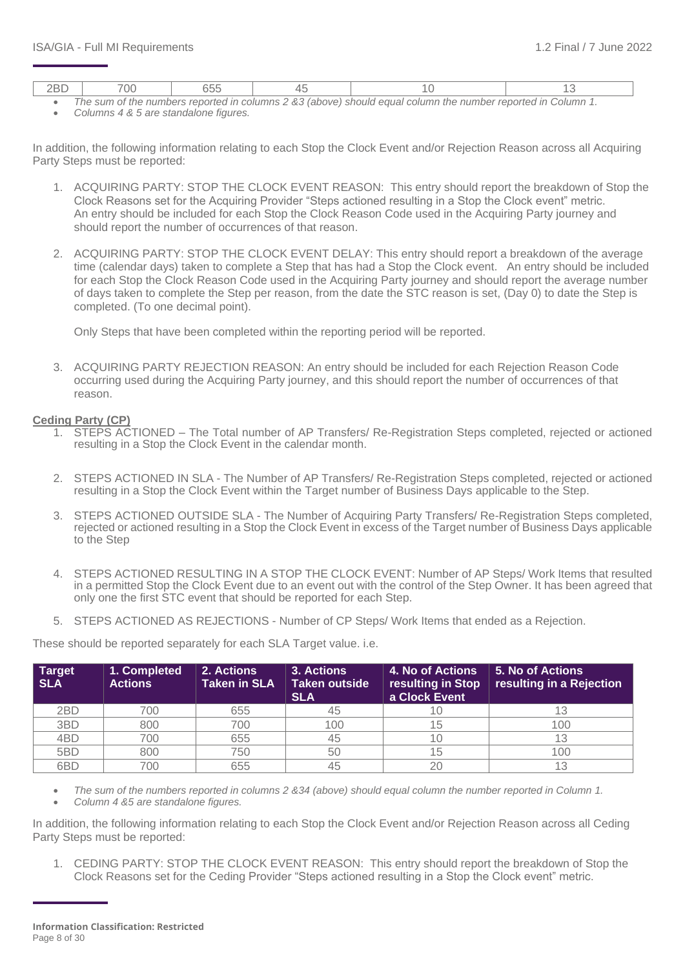|  |  | The eum of the numbers reported in columne 2.22 (about) chould equal solumn the number reported in Column 1 |  |
|--|--|-------------------------------------------------------------------------------------------------------------|--|

- *The sum of the numbers reported in columns 2 &3 (above) should equal column the number reported in Column 1.*
- *Columns 4 & 5 are standalone figures.*

In addition, the following information relating to each Stop the Clock Event and/or Rejection Reason across all Acquiring Party Steps must be reported:

- 1. ACQUIRING PARTY: STOP THE CLOCK EVENT REASON: This entry should report the breakdown of Stop the Clock Reasons set for the Acquiring Provider "Steps actioned resulting in a Stop the Clock event" metric. An entry should be included for each Stop the Clock Reason Code used in the Acquiring Party journey and should report the number of occurrences of that reason.
- 2. ACQUIRING PARTY: STOP THE CLOCK EVENT DELAY: This entry should report a breakdown of the average time (calendar days) taken to complete a Step that has had a Stop the Clock event. An entry should be included for each Stop the Clock Reason Code used in the Acquiring Party journey and should report the average number of days taken to complete the Step per reason, from the date the STC reason is set, (Day 0) to date the Step is completed. (To one decimal point).

Only Steps that have been completed within the reporting period will be reported.

3. ACQUIRING PARTY REJECTION REASON: An entry should be included for each Rejection Reason Code occurring used during the Acquiring Party journey, and this should report the number of occurrences of that reason.

#### **Ceding Party (CP)**

- 1. STEPS ACTIONED The Total number of AP Transfers/ Re-Registration Steps completed, rejected or actioned resulting in a Stop the Clock Event in the calendar month.
- 2. STEPS ACTIONED IN SLA The Number of AP Transfers/ Re-Registration Steps completed, rejected or actioned resulting in a Stop the Clock Event within the Target number of Business Days applicable to the Step.
- 3. STEPS ACTIONED OUTSIDE SLA The Number of Acquiring Party Transfers/ Re-Registration Steps completed, rejected or actioned resulting in a Stop the Clock Event in excess of the Target number of Business Days applicable to the Step
- 4. STEPS ACTIONED RESULTING IN A STOP THE CLOCK EVENT: Number of AP Steps/ Work Items that resulted in a permitted Stop the Clock Event due to an event out with the control of the Step Owner. It has been agreed that only one the first STC event that should be reported for each Step.
- 5. STEPS ACTIONED AS REJECTIONS Number of CP Steps/ Work Items that ended as a Rejection.

These should be reported separately for each SLA Target value. i.e.

| <b>Target</b><br><b>SLA</b> | 1. Completed<br><b>Actions</b> | 2. Actions<br>3. Actions<br>4. No of Actions<br><b>Taken in SLA</b><br><b>Taken outside</b><br>resulting in Stop<br>a Clock Event<br><b>SLA</b> |     | 5. No of Actions<br>resulting in a Rejection |     |
|-----------------------------|--------------------------------|-------------------------------------------------------------------------------------------------------------------------------------------------|-----|----------------------------------------------|-----|
| 2BD                         | 700                            | 655                                                                                                                                             | 45  | l U                                          |     |
| 3BD                         | 800                            | 700                                                                                                                                             | 100 | 15                                           | 100 |
| 4BD                         | 700                            | 655                                                                                                                                             | 45  | 10                                           |     |
| 5BD                         | 800                            | 750                                                                                                                                             | 50  | 15                                           | 100 |
| 6BD                         | 700                            | 655                                                                                                                                             | 45  | 20                                           |     |

• *The sum of the numbers reported in columns 2 &34 (above) should equal column the number reported in Column 1.* • *Column 4 &5 are standalone figures.* 

In addition, the following information relating to each Stop the Clock Event and/or Rejection Reason across all Ceding Party Steps must be reported:

1. CEDING PARTY: STOP THE CLOCK EVENT REASON: This entry should report the breakdown of Stop the Clock Reasons set for the Ceding Provider "Steps actioned resulting in a Stop the Clock event" metric.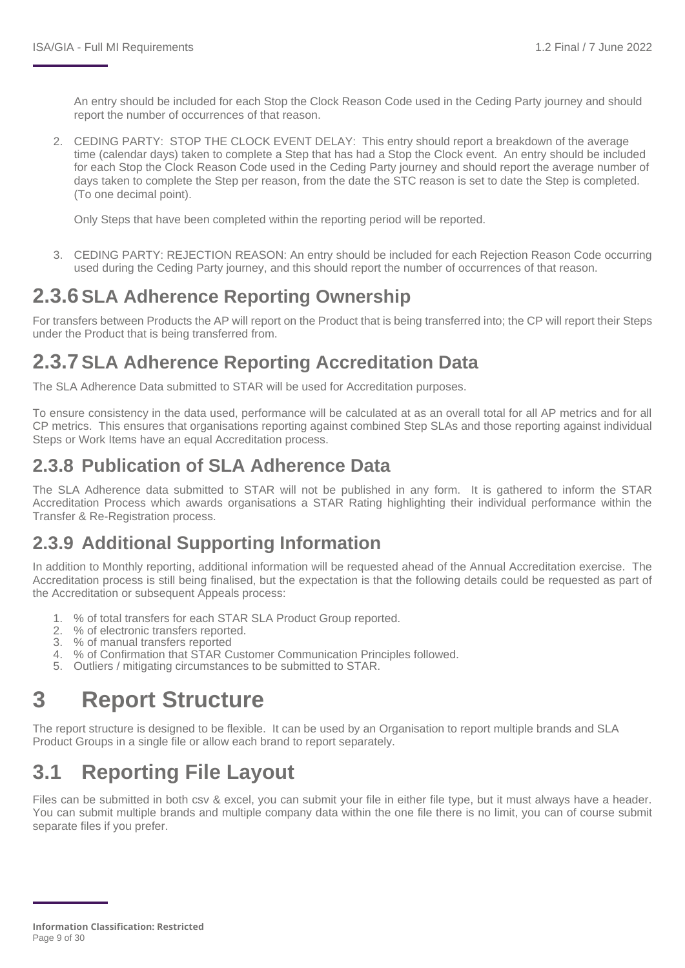An entry should be included for each Stop the Clock Reason Code used in the Ceding Party journey and should report the number of occurrences of that reason.

2. CEDING PARTY: STOP THE CLOCK EVENT DELAY: This entry should report a breakdown of the average time (calendar days) taken to complete a Step that has had a Stop the Clock event. An entry should be included for each Stop the Clock Reason Code used in the Ceding Party journey and should report the average number of days taken to complete the Step per reason, from the date the STC reason is set to date the Step is completed. (To one decimal point).

Only Steps that have been completed within the reporting period will be reported.

3. CEDING PARTY: REJECTION REASON: An entry should be included for each Rejection Reason Code occurring used during the Ceding Party journey, and this should report the number of occurrences of that reason.

## **2.3.6SLA Adherence Reporting Ownership**

For transfers between Products the AP will report on the Product that is being transferred into; the CP will report their Steps under the Product that is being transferred from.

### **2.3.7SLA Adherence Reporting Accreditation Data**

The SLA Adherence Data submitted to STAR will be used for Accreditation purposes.

To ensure consistency in the data used, performance will be calculated at as an overall total for all AP metrics and for all CP metrics. This ensures that organisations reporting against combined Step SLAs and those reporting against individual Steps or Work Items have an equal Accreditation process.

#### **2.3.8 Publication of SLA Adherence Data**

The SLA Adherence data submitted to STAR will not be published in any form. It is gathered to inform the STAR Accreditation Process which awards organisations a STAR Rating highlighting their individual performance within the Transfer & Re-Registration process.

### **2.3.9 Additional Supporting Information**

In addition to Monthly reporting, additional information will be requested ahead of the Annual Accreditation exercise. The Accreditation process is still being finalised, but the expectation is that the following details could be requested as part of the Accreditation or subsequent Appeals process:

- 1. % of total transfers for each STAR SLA Product Group reported.
- 2. % of electronic transfers reported.
- 3. % of manual transfers reported
- 4. % of Confirmation that STAR Customer Communication Principles followed.
- 5. Outliers / mitigating circumstances to be submitted to STAR.

## <span id="page-8-0"></span>**3 Report Structure**

The report structure is designed to be flexible. It can be used by an Organisation to report multiple brands and SLA Product Groups in a single file or allow each brand to report separately.

## <span id="page-8-1"></span>**3.1 Reporting File Layout**

Files can be submitted in both csv & excel, you can submit your file in either file type, but it must always have a header. You can submit multiple brands and multiple company data within the one file there is no limit, you can of course submit separate files if you prefer.

**Information Classification: Restricted** Page 9 of 30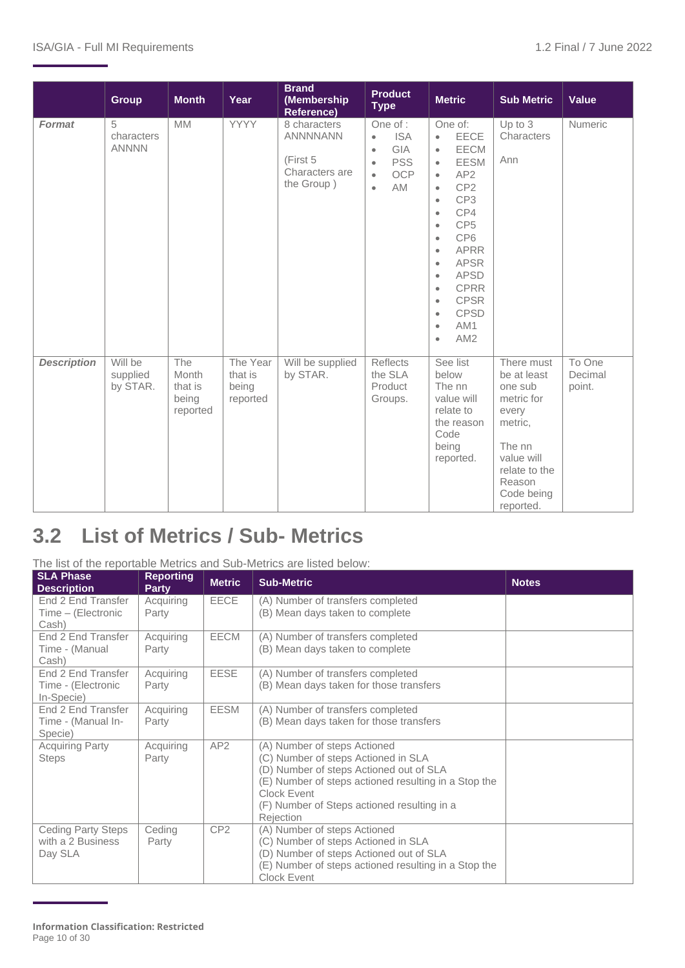|                    | <b>Group</b>                    | <b>Month</b>                                 | Year                                     | <b>Brand</b><br>(Membership<br><b>Reference)</b>                            | <b>Product</b><br><b>Type</b>                                                                                                           | <b>Metric</b>                                                                                                                                                                                                                                                                                                                                                                                                                                                                                   | <b>Sub Metric</b>                                                                                                                                    | <b>Value</b>                |
|--------------------|---------------------------------|----------------------------------------------|------------------------------------------|-----------------------------------------------------------------------------|-----------------------------------------------------------------------------------------------------------------------------------------|-------------------------------------------------------------------------------------------------------------------------------------------------------------------------------------------------------------------------------------------------------------------------------------------------------------------------------------------------------------------------------------------------------------------------------------------------------------------------------------------------|------------------------------------------------------------------------------------------------------------------------------------------------------|-----------------------------|
| <b>Format</b>      | 5<br>characters<br><b>ANNNN</b> | <b>MM</b>                                    | <b>YYYY</b>                              | 8 characters<br><b>ANNNNANN</b><br>(First 5<br>Characters are<br>the Group) | One of :<br><b>ISA</b><br>$\bullet$<br>GIA<br>$\bullet$<br><b>PSS</b><br>$\bullet$<br><b>OCP</b><br>$\bullet$<br><b>AM</b><br>$\bullet$ | One of:<br><b>EECE</b><br>$\bullet$<br><b>EECM</b><br>$\bullet$<br><b>EESM</b><br>$\bullet$<br>AP <sub>2</sub><br>$\bullet$<br>CP <sub>2</sub><br>$\bullet$<br>CP3<br>$\bullet$<br>CP4<br>$\bullet$<br>CP <sub>5</sub><br>$\bullet$<br>CP <sub>6</sub><br>$\bullet$<br><b>APRR</b><br>$\bullet$<br><b>APSR</b><br>$\bullet$<br><b>APSD</b><br>$\bullet$<br><b>CPRR</b><br>$\bullet$<br><b>CPSR</b><br>$\bullet$<br><b>CPSD</b><br>$\bullet$<br>AM1<br>$\bullet$<br>AM <sub>2</sub><br>$\bullet$ | Up to 3<br>Characters<br>Ann                                                                                                                         | Numeric                     |
| <b>Description</b> | Will be<br>supplied<br>by STAR. | The<br>Month<br>that is<br>being<br>reported | The Year<br>that is<br>being<br>reported | Will be supplied<br>by STAR.                                                | Reflects<br>the SLA<br>Product<br>Groups.                                                                                               | See list<br>below<br>The nn<br>value will<br>relate to<br>the reason<br>Code<br>being<br>reported.                                                                                                                                                                                                                                                                                                                                                                                              | There must<br>be at least<br>one sub<br>metric for<br>every<br>metric,<br>The nn<br>value will<br>relate to the<br>Reason<br>Code being<br>reported. | To One<br>Decimal<br>point. |

## <span id="page-9-0"></span>**3.2 List of Metrics / Sub- Metrics**

#### The list of the reportable Metrics and Sub-Metrics are listed below:

| <b>SLA Phase</b><br><b>Description</b>                    | <b>Reporting</b><br><b>Party</b> | <b>Metric</b>   | <b>Sub-Metric</b>                                                                                                                                                                                                                                 | <b>Notes</b> |
|-----------------------------------------------------------|----------------------------------|-----------------|---------------------------------------------------------------------------------------------------------------------------------------------------------------------------------------------------------------------------------------------------|--------------|
| End 2 End Transfer<br>Time - (Electronic<br>Cash)         | Acquiring<br>Party               | <b>EECE</b>     | (A) Number of transfers completed<br>(B) Mean days taken to complete                                                                                                                                                                              |              |
| End 2 End Transfer<br>Time - (Manual<br>Cash)             | Acquiring<br>Party               | <b>EECM</b>     | (A) Number of transfers completed<br>(B) Mean days taken to complete                                                                                                                                                                              |              |
| End 2 End Transfer<br>Time - (Electronic<br>In-Specie)    | Acquiring<br>Party               | EESE            | (A) Number of transfers completed<br>(B) Mean days taken for those transfers                                                                                                                                                                      |              |
| End 2 End Transfer<br>Time - (Manual In-<br>Specie)       | Acquiring<br>Party               | <b>EESM</b>     | (A) Number of transfers completed<br>(B) Mean days taken for those transfers                                                                                                                                                                      |              |
| <b>Acquiring Party</b><br><b>Steps</b>                    | Acquiring<br>Party               | AP <sub>2</sub> | (A) Number of steps Actioned<br>(C) Number of steps Actioned in SLA<br>(D) Number of steps Actioned out of SLA<br>(E) Number of steps actioned resulting in a Stop the<br>Clock Event<br>(F) Number of Steps actioned resulting in a<br>Rejection |              |
| <b>Ceding Party Steps</b><br>with a 2 Business<br>Day SLA | Ceding<br>Party                  | CP <sub>2</sub> | (A) Number of steps Actioned<br>(C) Number of steps Actioned in SLA<br>(D) Number of steps Actioned out of SLA<br>(E) Number of steps actioned resulting in a Stop the<br>Clock Event                                                             |              |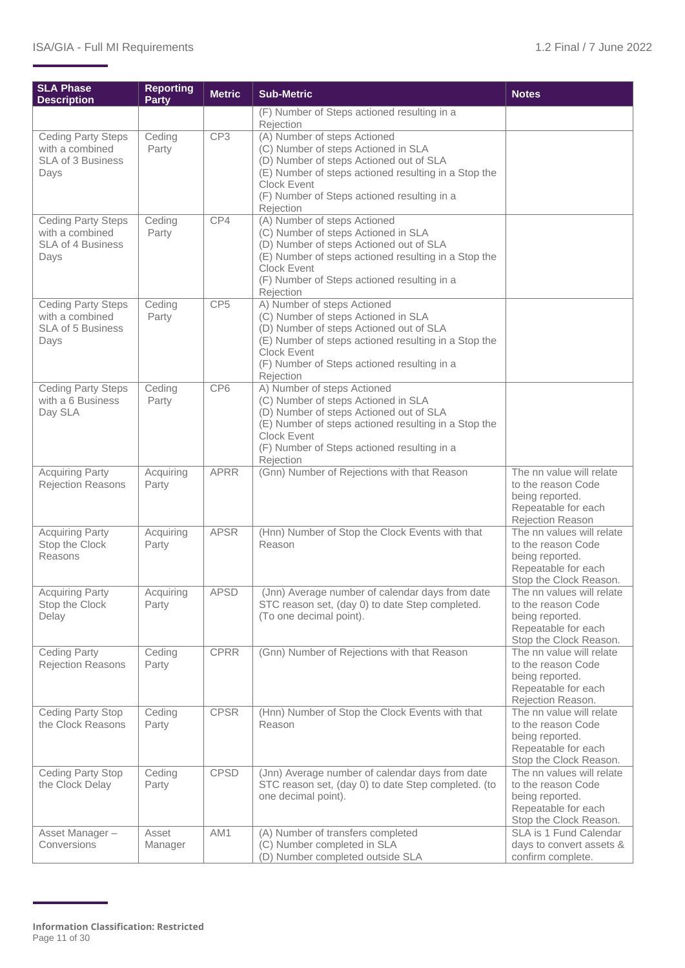| <b>SLA Phase</b><br><b>Description</b>                                           | <b>Reporting</b><br><b>Party</b> | <b>Metric</b>   | <b>Sub-Metric</b>                                                                                                                                                                                                                                        | <b>Notes</b>                                                                                                        |
|----------------------------------------------------------------------------------|----------------------------------|-----------------|----------------------------------------------------------------------------------------------------------------------------------------------------------------------------------------------------------------------------------------------------------|---------------------------------------------------------------------------------------------------------------------|
|                                                                                  |                                  |                 | (F) Number of Steps actioned resulting in a<br>Rejection                                                                                                                                                                                                 |                                                                                                                     |
| <b>Ceding Party Steps</b><br>with a combined<br>SLA of 3 Business<br>Days        | Ceding<br>Party                  | CP3             | (A) Number of steps Actioned<br>(C) Number of steps Actioned in SLA<br>(D) Number of steps Actioned out of SLA<br>(E) Number of steps actioned resulting in a Stop the<br><b>Clock Event</b><br>(F) Number of Steps actioned resulting in a<br>Rejection |                                                                                                                     |
| Ceding Party Steps<br>with a combined<br>SLA of 4 Business<br>Days               | Ceding<br>Party                  | CP4             | (A) Number of steps Actioned<br>(C) Number of steps Actioned in SLA<br>(D) Number of steps Actioned out of SLA<br>(E) Number of steps actioned resulting in a Stop the<br><b>Clock Event</b><br>(F) Number of Steps actioned resulting in a<br>Rejection |                                                                                                                     |
| <b>Ceding Party Steps</b><br>with a combined<br><b>SLA of 5 Business</b><br>Days | Ceding<br>Party                  | CP <sub>5</sub> | A) Number of steps Actioned<br>(C) Number of steps Actioned in SLA<br>(D) Number of steps Actioned out of SLA<br>(E) Number of steps actioned resulting in a Stop the<br><b>Clock Event</b><br>(F) Number of Steps actioned resulting in a<br>Rejection  |                                                                                                                     |
| <b>Ceding Party Steps</b><br>with a 6 Business<br>Day SLA                        | Ceding<br>Party                  | CP6             | A) Number of steps Actioned<br>(C) Number of steps Actioned in SLA<br>(D) Number of steps Actioned out of SLA<br>(E) Number of steps actioned resulting in a Stop the<br><b>Clock Event</b><br>(F) Number of Steps actioned resulting in a<br>Rejection  |                                                                                                                     |
| <b>Acquiring Party</b><br><b>Rejection Reasons</b>                               | Acquiring<br>Party               | <b>APRR</b>     | (Gnn) Number of Rejections with that Reason                                                                                                                                                                                                              | The nn value will relate<br>to the reason Code<br>being reported.<br>Repeatable for each<br>Rejection Reason        |
| <b>Acquiring Party</b><br>Stop the Clock<br>Reasons                              | Acquiring<br>Party               | <b>APSR</b>     | (Hnn) Number of Stop the Clock Events with that<br>Reason                                                                                                                                                                                                | The nn values will relate<br>to the reason Code<br>being reported.<br>Repeatable for each<br>Stop the Clock Reason. |
| <b>Acquiring Party</b><br>Stop the Clock<br>Delay                                | Acquiring<br>Party               | <b>APSD</b>     | (Jnn) Average number of calendar days from date<br>STC reason set, (day 0) to date Step completed.<br>(To one decimal point).                                                                                                                            | The nn values will relate<br>to the reason Code<br>being reported.<br>Repeatable for each<br>Stop the Clock Reason. |
| Ceding Party<br><b>Rejection Reasons</b>                                         | Ceding<br>Party                  | <b>CPRR</b>     | (Gnn) Number of Rejections with that Reason                                                                                                                                                                                                              | The nn value will relate<br>to the reason Code<br>being reported.<br>Repeatable for each<br>Rejection Reason.       |
| Ceding Party Stop<br>the Clock Reasons                                           | Ceding<br>Party                  | <b>CPSR</b>     | (Hnn) Number of Stop the Clock Events with that<br>Reason                                                                                                                                                                                                | The nn value will relate<br>to the reason Code<br>being reported.<br>Repeatable for each<br>Stop the Clock Reason.  |
| Ceding Party Stop<br>the Clock Delay                                             | Ceding<br>Party                  | <b>CPSD</b>     | (Jnn) Average number of calendar days from date<br>STC reason set, (day 0) to date Step completed. (to<br>one decimal point).                                                                                                                            | The nn values will relate<br>to the reason Code<br>being reported.<br>Repeatable for each<br>Stop the Clock Reason. |
| Asset Manager-<br>Conversions                                                    | Asset<br>Manager                 | AM1             | (A) Number of transfers completed<br>(C) Number completed in SLA<br>(D) Number completed outside SLA                                                                                                                                                     | SLA is 1 Fund Calendar<br>days to convert assets &<br>confirm complete.                                             |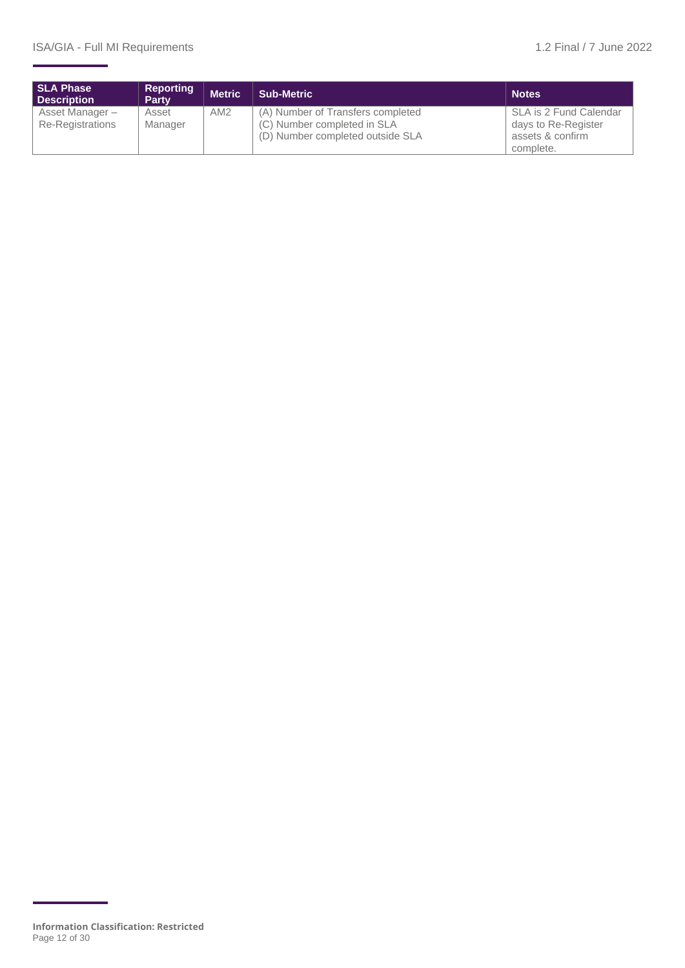| <b>SLA Phase</b><br><b>Description</b>     | Reporting<br>Party | <b>Metric</b> | <b>Sub-Metric</b>                                                                                    | <b>Notes</b>                                                                   |
|--------------------------------------------|--------------------|---------------|------------------------------------------------------------------------------------------------------|--------------------------------------------------------------------------------|
| Asset Manager -<br><b>Re-Registrations</b> | Asset<br>Manager   | AM2           | (A) Number of Transfers completed<br>(C) Number completed in SLA<br>(D) Number completed outside SLA | SLA is 2 Fund Calendar<br>days to Re-Register<br>assets & confirm<br>complete. |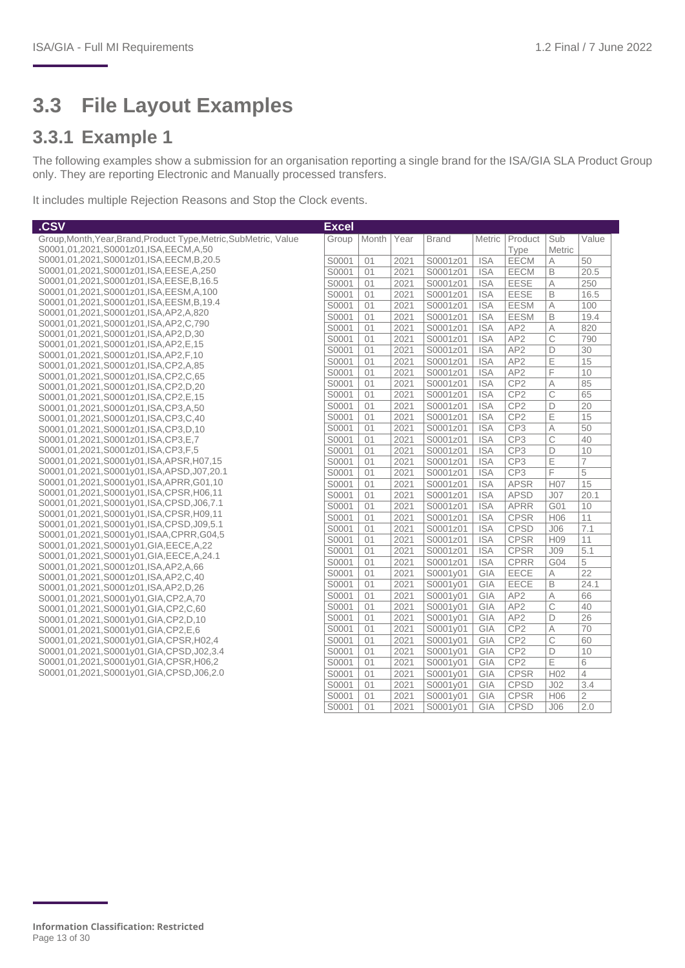## <span id="page-12-0"></span>**3.3 File Layout Examples**

#### **3.3.1 Example 1**

The following examples show a submission for an organisation reporting a single brand for the ISA/GIA SLA Product Group only. They are reporting Electronic and Manually processed transfers.

It includes multiple Rejection Reasons and Stop the Clock events.

| .CSV                                                                          | <b>Excel</b> |       |      |              |               |                 |                 |                 |
|-------------------------------------------------------------------------------|--------------|-------|------|--------------|---------------|-----------------|-----------------|-----------------|
| Group, Month, Year, Brand, Product Type, Metric, SubMetric, Value             | Group        | Month | Year | <b>Brand</b> | <b>Metric</b> | Product         | Sub             | Value           |
| S0001,01,2021,S0001z01,ISA,EECM,A,50                                          |              |       |      |              |               | Type            | Metric          |                 |
| S0001,01,2021,S0001z01,ISA,EECM,B,20.5                                        | S0001        | 01    | 2021 | S0001z01     | <b>ISA</b>    | EECM            | A               | 50              |
| S0001,01,2021,S0001z01,ISA,EESE,A,250                                         | S0001        | 01    | 2021 | S0001z01     | <b>ISA</b>    | <b>EECM</b>     | B               | 20.5            |
| S0001,01,2021,S0001z01,ISA,EESE,B,16.5                                        | S0001        | 01    | 2021 | S0001z01     | <b>ISA</b>    | <b>EESE</b>     | A               | 250             |
| S0001,01,2021,S0001z01,ISA,EESM,A,100                                         | S0001        | 01    | 2021 | S0001z01     | <b>ISA</b>    | <b>EESE</b>     | B               | 16.5            |
| S0001,01,2021,S0001z01,ISA,EESM,B,19.4                                        | S0001        | 01    | 2021 | S0001z01     | <b>ISA</b>    | <b>EESM</b>     | Α               | 100             |
| S0001,01,2021,S0001z01,ISA,AP2,A,820                                          | S0001        | 01    | 2021 | S0001z01     | <b>ISA</b>    | <b>EESM</b>     | B               | 19.4            |
| S0001,01,2021,S0001z01,ISA,AP2,C,790                                          | S0001        | 01    | 2021 | S0001z01     | <b>ISA</b>    | AP <sub>2</sub> | А               | 820             |
| S0001,01,2021,S0001z01,ISA,AP2,D,30                                           | S0001        | 01    | 2021 | S0001z01     | <b>ISA</b>    | AP <sub>2</sub> | C               | 790             |
| S0001,01,2021,S0001z01,ISA,AP2,E,15<br>S0001,01,2021,S0001z01,ISA,AP2,F,10    | S0001        | 01    | 2021 | S0001z01     | <b>ISA</b>    | AP <sub>2</sub> | D               | 30              |
| S0001,01,2021,S0001z01,ISA,CP2,A,85                                           | S0001        | 01    | 2021 | S0001z01     | <b>ISA</b>    | AP <sub>2</sub> | E               | 15              |
| S0001,01,2021,S0001z01,ISA,CP2,C,65                                           | S0001        | 01    | 2021 | S0001z01     | <b>ISA</b>    | AP <sub>2</sub> | F               | 10              |
| S0001,01,2021,S0001z01,ISA,CP2,D,20                                           | S0001        | 01    | 2021 | S0001z01     | <b>ISA</b>    | CP <sub>2</sub> | Α               | 85              |
| S0001,01,2021,S0001z01,ISA,CP2,E,15                                           | S0001        | 01    | 2021 | S0001z01     | <b>ISA</b>    | CP <sub>2</sub> | C               | 65              |
| S0001,01,2021,S0001z01,ISA,CP3,A,50                                           | S0001        | 01    | 2021 | S0001z01     | <b>ISA</b>    | CP <sub>2</sub> | D               | 20              |
| S0001,01,2021,S0001z01,ISA,CP3,C,40                                           | S0001        | 01    | 2021 | S0001z01     | <b>ISA</b>    | CP <sub>2</sub> | E               | 15              |
| S0001,01,2021,S0001z01,ISA,CP3,D,10                                           | S0001        | 01    | 2021 | S0001z01     | <b>ISA</b>    | CP3             | Α               | 50              |
| S0001,01,2021,S0001z01,ISA,CP3,E,7                                            | S0001        | 01    | 2021 | S0001z01     | <b>ISA</b>    | CP <sub>3</sub> | C               | 40              |
| S0001,01,2021,S0001z01,ISA,CP3,F,5                                            | S0001        | 01    | 2021 | S0001z01     | <b>ISA</b>    | CP <sub>3</sub> | D               | 10              |
| S0001,01,2021,S0001y01,ISA,APSR,H07,15                                        | S0001        | 01    | 2021 | S0001z01     | <b>ISA</b>    | CP <sub>3</sub> | E               | $\overline{7}$  |
| S0001,01,2021,S0001y01,ISA,APSD,J07,20.1                                      | S0001        | 01    | 2021 | S0001z01     | <b>ISA</b>    | CP <sub>3</sub> | F               | 5               |
| S0001,01,2021,S0001y01,ISA,APRR,G01,10                                        | S0001        | 01    | 2021 | S0001z01     | <b>ISA</b>    | <b>APSR</b>     | H <sub>07</sub> | 15              |
| S0001.01.2021.S0001y01.ISA.CPSR.H06.11                                        | S0001        | 01    | 2021 | S0001z01     | <b>ISA</b>    | <b>APSD</b>     | J07             | 20.1            |
| S0001,01,2021,S0001y01,ISA,CPSD,J06,7.1                                       | S0001        | 01    | 2021 | S0001z01     | <b>ISA</b>    | <b>APRR</b>     | G01             | 10              |
| S0001,01,2021,S0001y01,ISA,CPSR,H09,11                                        | S0001        | 01    | 2021 | S0001z01     | <b>ISA</b>    | <b>CPSR</b>     | H <sub>06</sub> | 11              |
| S0001,01,2021,S0001y01,ISA,CPSD,J09,5.1                                       | S0001        | 01    | 2021 | S0001z01     | <b>ISA</b>    | <b>CPSD</b>     | J06             | 7.1             |
| S0001,01,2021,S0001y01,ISAA,CPRR,G04,5                                        | S0001        | 01    | 2021 | S0001z01     | <b>ISA</b>    | <b>CPSR</b>     | H <sub>09</sub> | 11              |
| S0001,01,2021,S0001y01,GIA,EECE,A,22                                          | S0001        | 01    | 2021 | S0001z01     | <b>ISA</b>    | <b>CPSR</b>     | J <sub>09</sub> | 5.1             |
| S0001,01,2021,S0001y01,GIA,EECE,A,24.1<br>S0001,01,2021,S0001z01,ISA,AP2,A,66 | S0001        | 01    | 2021 | S0001z01     | <b>ISA</b>    | <b>CPRR</b>     | G04             | 5               |
| S0001,01,2021,S0001z01,ISA,AP2,C,40                                           | S0001        | 01    | 2021 | S0001y01     | GIA           | EECE            | A               | $\overline{22}$ |
| S0001,01,2021,S0001z01,ISA,AP2,D,26                                           | S0001        | 01    | 2021 | S0001y01     | GIA           | EECE            | B               | 24.1            |
| S0001,01,2021,S0001y01,GIA,CP2,A,70                                           | S0001        | 01    | 2021 | S0001y01     | GIA           | AP <sub>2</sub> | Α               | 66              |
| S0001,01,2021,S0001y01,GIA,CP2,C,60                                           | S0001        | 01    | 2021 | S0001y01     | GIA           | AP <sub>2</sub> | C               | 40              |
| S0001,01,2021,S0001y01,GIA,CP2,D,10                                           | S0001        | 01    | 2021 | S0001y01     | GIA           | AP <sub>2</sub> | D               | 26              |
| S0001,01,2021,S0001y01,GIA,CP2,E,6                                            | S0001        | 01    | 2021 | S0001v01     | GIA           | CP <sub>2</sub> | Α               | 70              |
| S0001,01,2021,S0001y01,GIA,CPSR,H02,4                                         | S0001        | 01    | 2021 | S0001y01     | GIA           | CP <sub>2</sub> | C               | 60              |
| S0001,01,2021,S0001y01,GIA,CPSD,J02,3.4                                       | S0001        | 01    | 2021 | S0001y01     | GIA           | CP <sub>2</sub> | D               | 10              |
| S0001,01,2021,S0001y01,GIA,CPSR,H06,2                                         | S0001        | 01    | 2021 | S0001y01     | GIA           | CP <sub>2</sub> | Ε               | 6               |
| S0001,01,2021,S0001y01,GIA,CPSD,J06,2.0                                       | S0001        | 01    | 2021 | S0001y01     | GIA           | <b>CPSR</b>     | H <sub>02</sub> | $\overline{4}$  |
|                                                                               | S0001        | 01    | 2021 | S0001y01     | GIA           | <b>CPSD</b>     | J <sub>02</sub> | 3.4             |
|                                                                               | S0001        | 01    | 2021 | S0001y01     | GIA           | <b>CPSR</b>     | H <sub>06</sub> | 2               |
|                                                                               | S0001        | 01    | 2021 | S0001y01     | <b>GIA</b>    | <b>CPSD</b>     | J06             | 2.0             |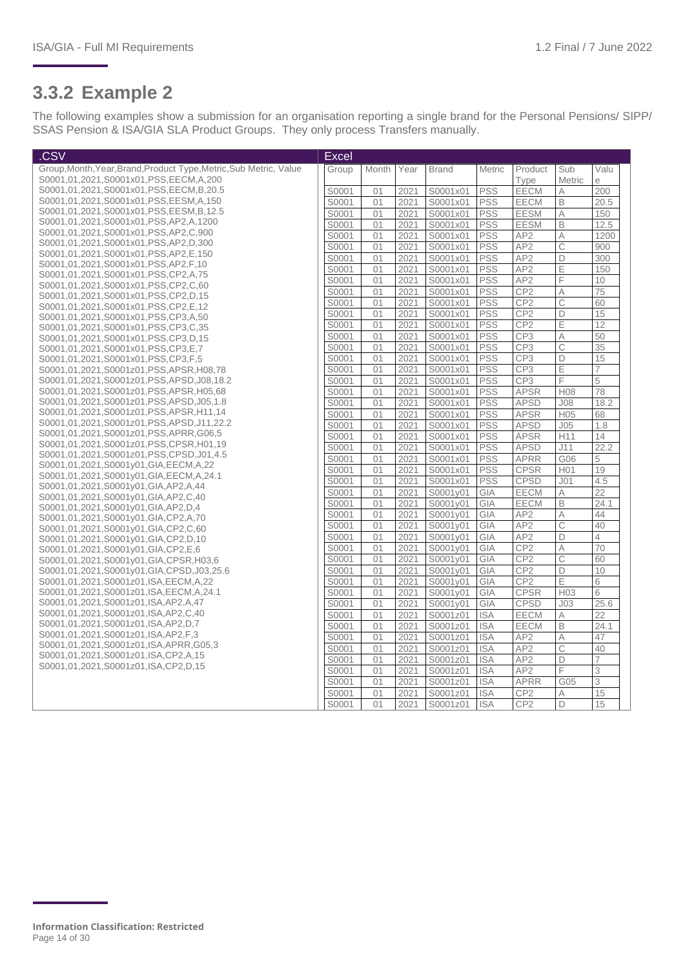#### **3.3.2 Example 2**

The following examples show a submission for an organisation reporting a single brand for the Personal Pensions/ SIPP/ SSAS Pension & ISA/GIA SLA Product Groups. They only process Transfers manually.

| .CSV                                                                            | <b>Excel</b> |       |      |              |            |                 |                 |                 |
|---------------------------------------------------------------------------------|--------------|-------|------|--------------|------------|-----------------|-----------------|-----------------|
| Group, Month, Year, Brand, Product Type, Metric, Sub Metric, Value              | Group        | Month | Year | <b>Brand</b> | Metric     | Product         | Sub             | Valu            |
| S0001,01,2021,S0001x01,PSS,EECM,A,200                                           |              |       |      |              |            | Type            | Metric          | e               |
| S0001,01,2021,S0001x01,PSS,EECM,B,20.5                                          | S0001        | 01    | 2021 | S0001x01     | PSS        | EECM            | Α               | 200             |
| S0001,01,2021,S0001x01,PSS,EESM,A,150                                           | S0001        | 01    | 2021 | S0001x01     | <b>PSS</b> | EECM            | $\mathsf B$     | 20.5            |
| S0001,01,2021,S0001x01,PSS,EESM,B,12.5                                          | S0001        | 01    | 2021 | S0001x01     | <b>PSS</b> | <b>EESM</b>     | A               | 150             |
| S0001,01,2021,S0001x01,PSS,AP2,A,1200                                           | S0001        | 01    | 2021 | S0001x01     | <b>PSS</b> | <b>EESM</b>     | B               | 12.5            |
| S0001.01.2021.S0001x01.PSS.AP2.C.900                                            | S0001        | 01    | 2021 | S0001x01     | <b>PSS</b> | AP <sub>2</sub> | $\wedge$        | 1200            |
| S0001,01,2021,S0001x01,PSS,AP2,D,300                                            | S0001        | 01    | 2021 | S0001x01     | <b>PSS</b> | AP <sub>2</sub> | $\mathsf C$     | 900             |
| S0001,01,2021,S0001x01,PSS,AP2,E,150<br>S0001,01,2021,S0001x01,PSS,AP2,F,10     | S0001        | 01    | 2021 | S0001x01     | <b>PSS</b> | AP <sub>2</sub> | D               | 300             |
| S0001,01,2021,S0001x01,PSS,CP2,A,75                                             | S0001        | 01    | 2021 | S0001x01     | <b>PSS</b> | AP <sub>2</sub> | E               | 150             |
| S0001,01,2021,S0001x01,PSS,CP2,C,60                                             | S0001        | 01    | 2021 | S0001x01     | <b>PSS</b> | AP <sub>2</sub> | F               | 10 <sup>°</sup> |
| S0001,01,2021,S0001x01,PSS,CP2,D,15                                             | S0001        | 01    | 2021 | S0001x01     | <b>PSS</b> | CP <sub>2</sub> | A               | 75              |
| S0001,01,2021,S0001x01,PSS,CP2,E,12                                             | S0001        | 01    | 2021 | S0001x01     | <b>PSS</b> | CP <sub>2</sub> | C               | 60              |
| S0001,01,2021,S0001x01,PSS,CP3,A,50                                             | S0001        | 01    | 2021 | S0001x01     | <b>PSS</b> | CP <sub>2</sub> | D               | 15              |
| S0001,01,2021,S0001x01,PSS,CP3,C,35                                             | S0001        | 01    | 2021 | S0001x01     | <b>PSS</b> | CP <sub>2</sub> | Ε               | 12              |
| S0001,01,2021,S0001x01,PSS,CP3,D,15                                             | S0001        | 01    | 2021 | S0001x01     | <b>PSS</b> | CP <sub>3</sub> | A               | 50              |
| S0001,01,2021,S0001x01,PSS,CP3,E,7                                              | S0001        | 01    | 2021 | S0001x01     | <b>PSS</b> | CP <sub>3</sub> | C               | 35              |
| S0001,01,2021,S0001x01,PSS,CP3,F,5                                              | S0001        | 01    | 2021 | S0001x01     | <b>PSS</b> | CP <sub>3</sub> | D               | 15              |
| S0001.01.2021.S0001z01.PSS.APSR.H08.78                                          | S0001        | 01    | 2021 | S0001x01     | <b>PSS</b> | CP <sub>3</sub> | Ε               |                 |
| S0001,01,2021,S0001z01,PSS,APSD,J08,18.2                                        | S0001        | 01    | 2021 | S0001x01     | <b>PSS</b> | CP <sub>3</sub> | F               | 5               |
| S0001,01,2021,S0001z01,PSS,APSR,H05,68                                          | S0001        | 01    | 2021 | S0001x01     | <b>PSS</b> | <b>APSR</b>     | <b>H08</b>      | 78              |
| S0001.01.2021.S0001z01.PSS.APSD.J05.1.8                                         | S0001        | 01    | 2021 | S0001x01     | <b>PSS</b> | <b>APSD</b>     | J08             | 18.2            |
| S0001,01,2021,S0001z01,PSS,APSR,H11,14                                          | S0001        | 01    | 2021 | S0001x01     | <b>PSS</b> | <b>APSR</b>     | H05             | 68              |
| S0001,01,2021,S0001z01,PSS,APSD,J11,22.2                                        | S0001        | 01    | 2021 | S0001x01     | <b>PSS</b> | <b>APSD</b>     | J05             | 1.8             |
| S0001,01,2021,S0001z01,PSS,APRR,G06,5                                           | S0001        | 01    | 2021 | S0001x01     | <b>PSS</b> | <b>APSR</b>     | H11             | 14              |
| S0001.01.2021.S0001z01.PSS.CPSR.H01.19                                          | S0001        | 01    | 2021 | S0001x01     | <b>PSS</b> | <b>APSD</b>     | J11             | 22.2            |
| S0001,01,2021,S0001z01,PSS,CPSD,J01,4.5<br>S0001,01,2021,S0001y01,GIA,EECM,A,22 | S0001        | 01    | 2021 | S0001x01     | <b>PSS</b> | <b>APRR</b>     | G06             | 5               |
| S0001,01,2021,S0001y01,GIA,EECM,A,24.1                                          | S0001        | 01    | 2021 | S0001x01     | <b>PSS</b> | <b>CPSR</b>     | H01             | 19              |
| S0001,01,2021,S0001y01,GIA,AP2,A,44                                             | S0001        | 01    | 2021 | S0001x01     | <b>PSS</b> | <b>CPSD</b>     | J <sub>01</sub> | 4.5             |
| S0001,01,2021,S0001y01,GIA,AP2,C,40                                             | S0001        | 01    | 2021 | S0001y01     | GIA        | EECM            | A               | 22              |
| S0001,01,2021,S0001y01,GIA,AP2,D,4                                              | S0001        | 01    | 2021 | S0001y01     | GIA        | EECM            | $\mathsf B$     | 24.1            |
| S0001.01.2021.S0001v01.GIA.CP2.A.70                                             | S0001        | 01    | 2021 | S0001y01     | GIA        | AP <sub>2</sub> | $\forall$       | 44              |
| S0001,01,2021,S0001y01,GIA,CP2,C,60                                             | S0001        | 01    | 2021 | S0001y01     | GIA        | AP <sub>2</sub> | $\overline{C}$  | 40              |
| S0001,01,2021,S0001y01,GIA,CP2,D,10                                             | S0001        | 01    | 2021 | S0001y01     | GIA        | AP <sub>2</sub> | D               | $\overline{4}$  |
| S0001,01,2021,S0001y01,GIA,CP2,E,6                                              | S0001        | 01    | 2021 | S0001v01     | GIA        | CP <sub>2</sub> | A               | 70              |
| S0001,01,2021,S0001y01,GIA,CPSR,H03,6                                           | S0001        | 01    | 2021 | S0001y01     | GIA        | CP <sub>2</sub> | $\overline{C}$  | 60              |
| S0001,01,2021,S0001y01,GIA,CPSD,J03,25.6                                        | S0001        | 01    | 2021 | S0001y01     | GIA        | CP <sub>2</sub> | $\overline{D}$  | 10              |
| S0001,01,2021,S0001z01,ISA,EECM,A,22                                            | S0001        | 01    | 2021 | S0001y01     | GIA        | CP <sub>2</sub> | Ε               | 6               |
| S0001,01,2021,S0001z01,ISA,EECM,A,24.1                                          | S0001        | 01    | 2021 | S0001v01     | GIA        | <b>CPSR</b>     | H <sub>03</sub> | 6               |
| S0001,01,2021,S0001z01,ISA,AP2,A,47                                             | S0001        | 01    | 2021 | S0001y01     | GIA        | <b>CPSD</b>     | J <sub>03</sub> | 25.6            |
| S0001,01,2021,S0001z01,ISA,AP2,C,40                                             | S0001        | 01    | 2021 | S0001z01     | <b>ISA</b> | EECM            | A               | 22              |
| S0001,01,2021,S0001z01,ISA,AP2,D,7                                              | S0001        | 01    | 2021 | S0001z01     | <b>ISA</b> | EECM            | $\mathsf B$     | 24.1            |
| S0001,01,2021,S0001z01,ISA,AP2,F,3                                              | S0001        | 01    | 2021 | S0001z01     | <b>ISA</b> | AP <sub>2</sub> | A               | 47              |
| S0001,01,2021,S0001z01,ISA,APRR,G05,3                                           | S0001        | 01    | 2021 | S0001z01     | <b>ISA</b> | AP <sub>2</sub> | C               | 40              |
| S0001,01,2021,S0001z01,ISA,CP2,A,15<br>S0001,01,2021,S0001z01,ISA,CP2,D,15      | S0001        | 01    | 2021 | S0001z01     | <b>ISA</b> | AP <sub>2</sub> | D               | $\overline{7}$  |
|                                                                                 | S0001        | 01    | 2021 | S0001z01     | <b>ISA</b> | AP <sub>2</sub> | F               | 3               |
|                                                                                 | S0001        | 01    | 2021 | S0001z01     | <b>ISA</b> | <b>APRR</b>     | G05             | 3               |
|                                                                                 | S0001        | 01    | 2021 | S0001z01     | <b>ISA</b> | CP <sub>2</sub> | А               | 15              |
|                                                                                 | S0001        | 01    | 2021 | S0001z01     | <b>ISA</b> | CP <sub>2</sub> | $\overline{D}$  | 15              |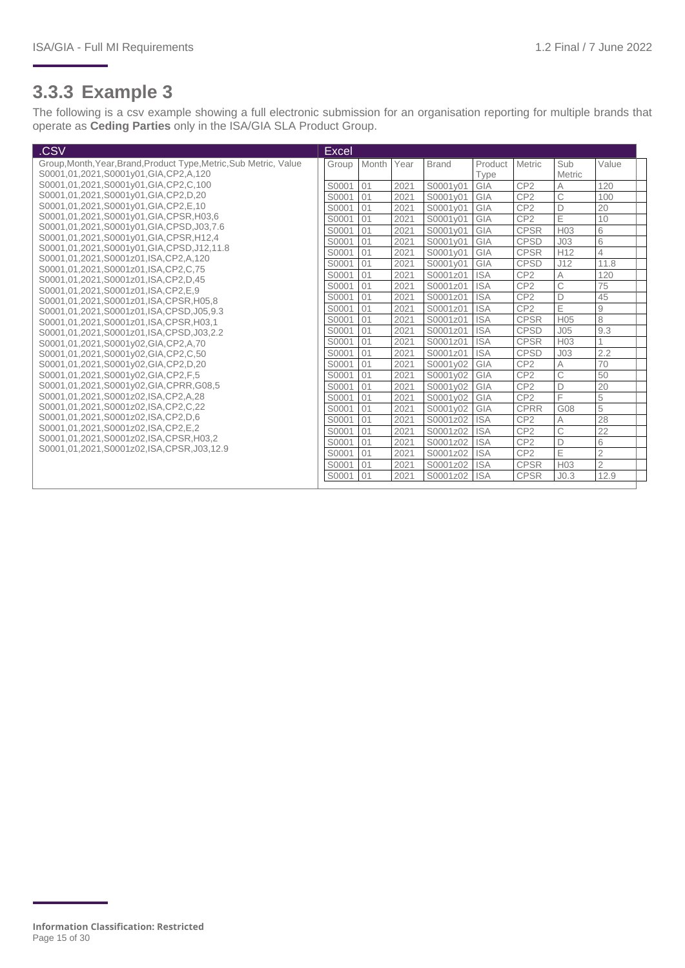#### **3.3.3 Example 3**

The following is a csv example showing a full electronic submission for an organisation reporting for multiple brands that operate as **Ceding Parties** only in the ISA/GIA SLA Product Group.

| .CSV                                                                      | <b>Excel</b> |       |      |              |            |                 |                  |                |
|---------------------------------------------------------------------------|--------------|-------|------|--------------|------------|-----------------|------------------|----------------|
| Group, Month, Year, Brand, Product Type, Metric, Sub Metric, Value        | Group        | Month | Year | <b>Brand</b> | Product    | <b>Metric</b>   | Sub              | Value          |
| S0001,01,2021,S0001y01,GIA,CP2,A,120                                      |              |       |      |              | Type       |                 | Metric           |                |
| S0001,01,2021,S0001y01,GIA,CP2,C,100                                      | S0001        | 01    | 2021 | S0001v01     | GIA        | CP <sub>2</sub> | A                | 120            |
| S0001,01,2021,S0001y01,GIA,CP2,D,20                                       | S0001        | 01    | 2021 | S0001v01     | GIA        | CP <sub>2</sub> | C                | 100            |
| S0001,01,2021,S0001y01,GIA,CP2,E,10                                       | S0001        | 01    | 2021 | S0001y01     | GIA        | CP <sub>2</sub> | $\Box$           | 20             |
| S0001,01,2021,S0001y01,GIA,CPSR,H03,6                                     | S0001        | 01    | 2021 | S0001y01     | GIA        | CP <sub>2</sub> | E                | 10             |
| S0001.01.2021,S0001y01,GIA,CPSD,J03,7.6                                   | S0001        | 01    | 2021 | S0001y01     | GIA        | <b>CPSR</b>     | H03              | 6              |
| S0001,01,2021,S0001y01,GIA,CPSR,H12,4                                     | S0001        | 01    | 2021 | S0001y01     | GIA        | <b>CPSD</b>     | J <sub>03</sub>  | 6              |
| S0001,01,2021,S0001y01,GIA,CPSD,J12,11.8                                  | S0001        | 01    | 2021 | S0001y01     | GIA        | <b>CPSR</b>     | H12              | $\Delta$       |
| S0001,01,2021,S0001z01,ISA,CP2,A,120                                      | S0001        | 01    | 2021 | S0001v01     | GIA        | CPSD            | J12              | 11.8           |
| S0001,01,2021,S0001z01,ISA,CP2,C,75                                       | S0001        | 01    | 2021 | S0001z01     | <b>ISA</b> | CP <sub>2</sub> | $\overline{A}$   | 120            |
| S0001,01,2021,S0001z01,ISA,CP2,D,45<br>S0001,01,2021,S0001z01,ISA,CP2,E,9 | S0001        | 01    | 2021 | S0001z01     | <b>ISA</b> | CP <sub>2</sub> | $\overline{C}$   | 75             |
| S0001,01,2021,S0001z01,ISA,CPSR,H05,8                                     | S0001        | 01    | 2021 | S0001z01     | <b>ISA</b> | CP2             | D                | 45             |
| S0001,01,2021,S0001z01,ISA,CPSD,J05,9.3                                   | S0001        | 01    | 2021 | S0001z01     | <b>ISA</b> | CP <sub>2</sub> | Ε                | $\hbox{9}$     |
| S0001,01,2021,S0001z01,ISA,CPSR,H03,1                                     | S0001        | 01    | 2021 | S0001z01     | <b>ISA</b> | <b>CPSR</b>     | H <sub>05</sub>  | 8              |
| S0001,01,2021,S0001z01,ISA,CPSD,J03,2.2                                   | S0001        | 01    | 2021 | S0001z01     | <b>ISA</b> | <b>CPSD</b>     | J <sub>05</sub>  | 9.3            |
| S0001,01,2021,S0001y02,GIA,CP2,A,70                                       | S0001        | 01    | 2021 | S0001z01     | <b>ISA</b> | <b>CPSR</b>     | H <sub>03</sub>  |                |
| S0001,01,2021,S0001y02,GIA,CP2,C,50                                       | S0001        | 01    | 2021 | S0001z01     | <b>ISA</b> | <b>CPSD</b>     | J <sub>03</sub>  | 2.2            |
| S0001,01,2021,S0001y02,GIA,CP2,D,20                                       | S0001        | 01    | 2021 | S0001y02     | GIA        | CP <sub>2</sub> | А                | 70             |
| S0001,01,2021,S0001y02,GIA,CP2,F,5                                        | S0001        | 01    | 2021 | S0001v02     | GIA        | CP <sub>2</sub> | C                | 50             |
| S0001,01,2021,S0001y02,GIA,CPRR,G08,5                                     | S0001        | 01    | 2021 | S0001v02     | GIA        | CP <sub>2</sub> | D                | 20             |
| S0001,01,2021,S0001z02,ISA,CP2,A,28                                       | S0001        | 01    | 2021 | S0001y02     | GIA        | CP2             | E                | 5              |
| S0001,01,2021,S0001z02,ISA,CP2,C,22                                       | S0001        | 01    | 2021 | S0001y02     | GIA        | <b>CPRR</b>     | G08              | 5              |
| S0001,01,2021,S0001z02,ISA,CP2,D,6                                        | S0001        | 01    | 2021 | S0001z02     | <b>ISA</b> | CP <sub>2</sub> | A                | 28             |
| S0001,01,2021,S0001z02,ISA,CP2,E,2                                        | S0001        | 01    | 2021 | S0001z02     | <b>ISA</b> | CP <sub>2</sub> | $\mathsf{C}$     | 22             |
| S0001,01,2021,S0001z02,ISA,CPSR,H03,2                                     | S0001        | 01    | 2021 | S0001z02     | <b>ISA</b> | CP <sub>2</sub> | D                | 6              |
| S0001.01.2021.S0001z02.ISA.CPSR.J03.12.9                                  | S0001        | 01    | 2021 | S0001z02     | <b>ISA</b> | CP <sub>2</sub> | E                | $\overline{2}$ |
|                                                                           | S0001        | 01    | 2021 | S0001z02     | <b>ISA</b> | <b>CPSR</b>     | H <sub>03</sub>  | $\overline{2}$ |
|                                                                           | S0001        | 01    | 2021 | S0001z02     | <b>ISA</b> | <b>CPSR</b>     | J <sub>0.3</sub> | 12.9           |
|                                                                           |              |       |      |              |            |                 |                  |                |

**Information Classification: Restricted** Page 15 of 30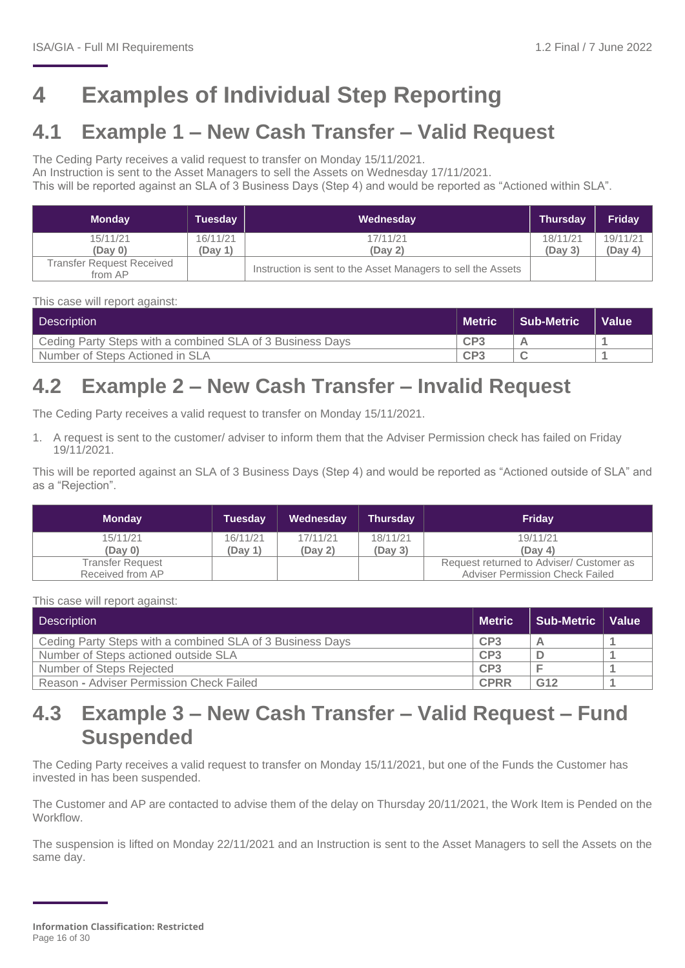## <span id="page-15-0"></span>**4 Examples of Individual Step Reporting**

## <span id="page-15-1"></span>**4.1 Example 1 – New Cash Transfer – Valid Request**

The Ceding Party receives a valid request to transfer on Monday 15/11/2021.

An Instruction is sent to the Asset Managers to sell the Assets on Wednesday 17/11/2021.

This will be reported against an SLA of 3 Business Days (Step 4) and would be reported as "Actioned within SLA".

| <b>Monday</b>                        | <b>Tuesday</b>      | Wednesday                                                    | <b>Thursday</b>     | <b>Friday</b>       |
|--------------------------------------|---------------------|--------------------------------------------------------------|---------------------|---------------------|
| 15/11/21<br>(Dav 0)                  | 16/11/21<br>(Day 1) | 17/11/21<br>(Day 2)                                          | 18/11/21<br>(Dav 3) | 19/11/21<br>(Day 4) |
| Transfer Request Received<br>from AP |                     | Instruction is sent to the Asset Managers to sell the Assets |                     |                     |

This case will report against:

| Description                                               | <b>Metric</b>   | Sub-Metric | <b>Value</b> |
|-----------------------------------------------------------|-----------------|------------|--------------|
| Ceding Party Steps with a combined SLA of 3 Business Days | CP <sub>3</sub> |            |              |
| Number of Steps Actioned in SLA                           | CP <sub>3</sub> |            |              |

## <span id="page-15-2"></span>**4.2 Example 2 – New Cash Transfer – Invalid Request**

The Ceding Party receives a valid request to transfer on Monday 15/11/2021.

1. A request is sent to the customer/ adviser to inform them that the Adviser Permission check has failed on Friday 19/11/2021.

This will be reported against an SLA of 3 Business Days (Step 4) and would be reported as "Actioned outside of SLA" and as a "Rejection".

| <b>Monday</b>    | <b>Tuesday</b> | Wednesday | <b>Thursday</b> | <b>Friday</b>                            |
|------------------|----------------|-----------|-----------------|------------------------------------------|
| 15/11/21         | 16/11/21       | 17/11/21  | 18/11/21        | 19/11/21                                 |
| (Day 0)          | (Day 1)        | (Day 2)   | (Day 3)         | (Dav 4)                                  |
| Transfer Request |                |           |                 | Request returned to Adviser/ Customer as |
| Received from AP |                |           |                 | <b>Adviser Permission Check Failed</b>   |

This case will report against:

| Description                                               | <b>Metric</b>   | Sub-Metric   Value |  |
|-----------------------------------------------------------|-----------------|--------------------|--|
| Ceding Party Steps with a combined SLA of 3 Business Days | CP <sub>3</sub> |                    |  |
| Number of Steps actioned outside SLA                      | CP3             |                    |  |
| Number of Steps Rejected                                  | CP3             |                    |  |
| Reason - Adviser Permission Check Failed                  | <b>CPRR</b>     | G12                |  |

### <span id="page-15-3"></span>**4.3 Example 3 – New Cash Transfer – Valid Request – Fund Suspended**

The Ceding Party receives a valid request to transfer on Monday 15/11/2021, but one of the Funds the Customer has invested in has been suspended.

The Customer and AP are contacted to advise them of the delay on Thursday 20/11/2021, the Work Item is Pended on the **Workflow** 

The suspension is lifted on Monday 22/11/2021 and an Instruction is sent to the Asset Managers to sell the Assets on the same day.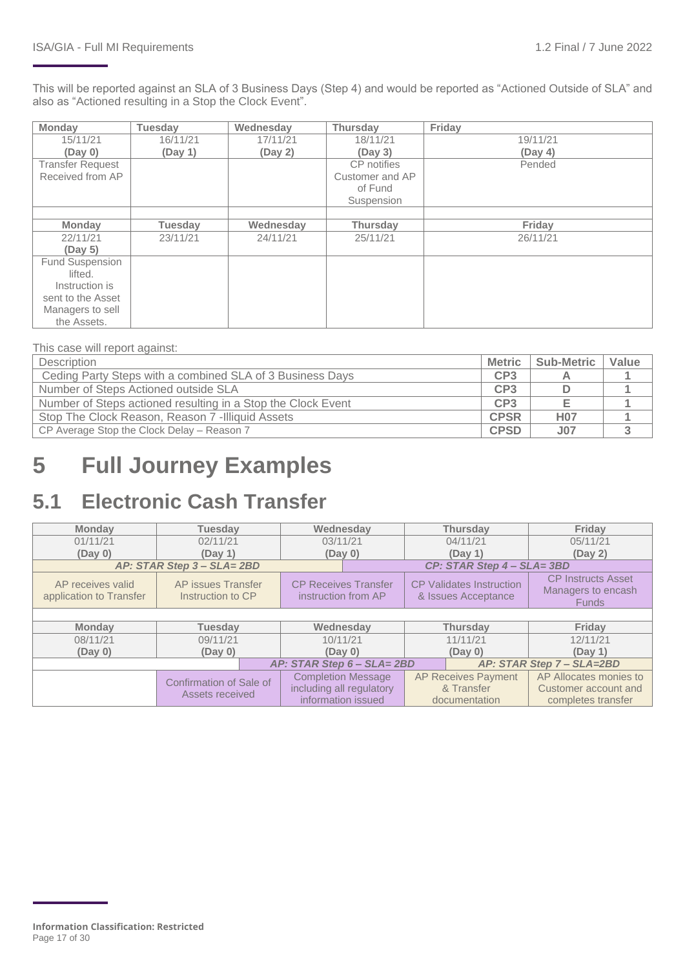This will be reported against an SLA of 3 Business Days (Step 4) and would be reported as "Actioned Outside of SLA" and also as "Actioned resulting in a Stop the Clock Event".

| Monday                  | <b>Tuesday</b> | Wednesday | <b>Thursdav</b> | Friday   |
|-------------------------|----------------|-----------|-----------------|----------|
| 15/11/21                | 16/11/21       | 17/11/21  | 18/11/21        | 19/11/21 |
| (Day 0)                 | (Day 1)        | (Day 2)   | (Day 3)         | (Day 4)  |
| <b>Transfer Request</b> |                |           | CP notifies     | Pended   |
| Received from AP        |                |           | Customer and AP |          |
|                         |                |           | of Fund         |          |
|                         |                |           | Suspension      |          |
|                         |                |           |                 |          |
| <b>Monday</b>           | <b>Tuesday</b> | Wednesday | <b>Thursday</b> | Friday   |
| 22/11/21                | 23/11/21       | 24/11/21  | 25/11/21        | 26/11/21 |
| (Day 5)                 |                |           |                 |          |
| Fund Suspension         |                |           |                 |          |
| lifted.                 |                |           |                 |          |
| Instruction is          |                |           |                 |          |
| sent to the Asset       |                |           |                 |          |
| Managers to sell        |                |           |                 |          |
| the Assets.             |                |           |                 |          |

This case will report against:

| Description                                                  | <b>Metric</b>   | <b>Sub-Metric</b> | Value |
|--------------------------------------------------------------|-----------------|-------------------|-------|
| Ceding Party Steps with a combined SLA of 3 Business Days    | CP <sub>3</sub> |                   |       |
| Number of Steps Actioned outside SLA                         | CP <sub>3</sub> |                   |       |
| Number of Steps actioned resulting in a Stop the Clock Event | CP3             |                   |       |
| Stop The Clock Reason, Reason 7 -Illiquid Assets             | <b>CPSR</b>     | <b>H07</b>        |       |
| CP Average Stop the Clock Delay - Reason 7                   | <b>CPSD</b>     | <b>J07</b>        |       |

## <span id="page-16-0"></span>**5 Full Journey Examples**

## <span id="page-16-1"></span>**5.1 Electronic Cash Transfer**

| <b>Monday</b>                                | <b>Tuesday</b>                          | Wednesday                                          | <b>Thursday</b>                                        | Friday                                                          |
|----------------------------------------------|-----------------------------------------|----------------------------------------------------|--------------------------------------------------------|-----------------------------------------------------------------|
| 01/11/21                                     | 02/11/21                                | 03/11/21                                           | 04/11/21                                               | 05/11/21                                                        |
| (Day 0)                                      | (Day 1)                                 | (Day 0)                                            | (Day 1)                                                | (Day 2)                                                         |
|                                              | AP: STAR Step 3 - SLA= 2BD              |                                                    | CP: STAR Step 4 - SLA=3BD                              |                                                                 |
| AP receives valid<br>application to Transfer | AP issues Transfer<br>Instruction to CP | <b>CP Receives Transfer</b><br>instruction from AP | <b>CP Validates Instruction</b><br>& Issues Acceptance | <b>CP Instructs Asset</b><br>Managers to encash<br><b>Funds</b> |
|                                              |                                         |                                                    |                                                        |                                                                 |
| <b>Monday</b><br><b>Tuesdav</b>              |                                         | Wednesday                                          | <b>Thursday</b>                                        | Friday                                                          |
| 08/11/21                                     | 09/11/21                                | 10/11/21                                           | 11/11/21                                               | 12/11/21                                                        |
| (Day 0)                                      | (Day 0)                                 | (Day 0)                                            | (Day 0)                                                | (Day 1)                                                         |
|                                              |                                         | AP: STAR Step 6 - SLA= 2BD                         |                                                        | AP: STAR Step 7 - SLA=2BD                                       |
|                                              | Confirmation of Sale of                 | <b>Completion Message</b>                          | <b>AP Receives Payment</b>                             | AP Allocates monies to                                          |
|                                              | Assets received                         | including all regulatory                           | & Transfer                                             | Customer account and                                            |
|                                              |                                         | information issued                                 | documentation                                          | completes transfer                                              |

**Information Classification: Restricted** Page 17 of 30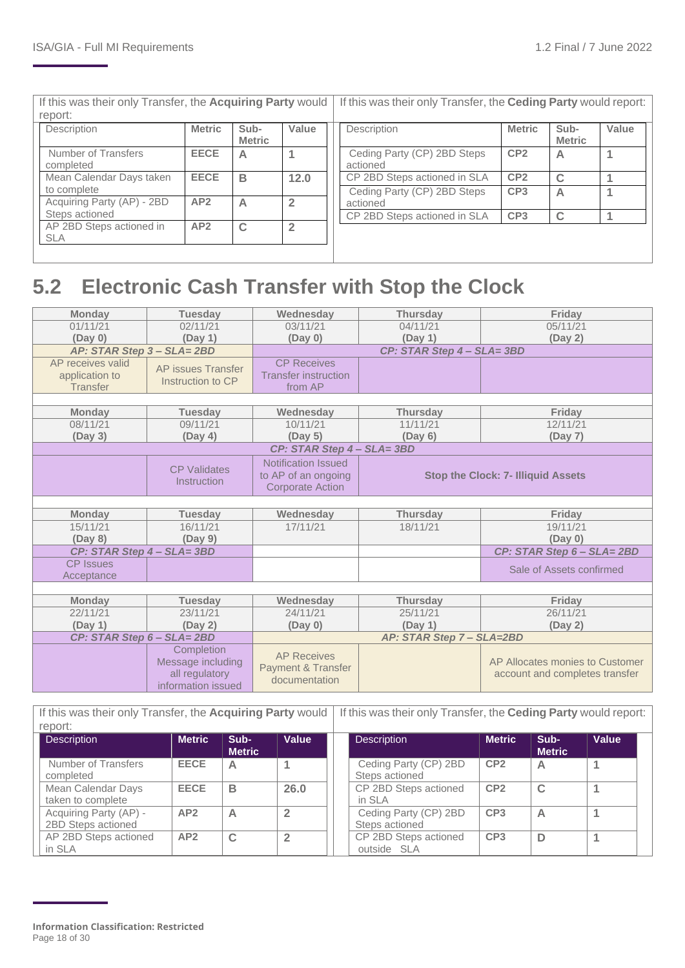| If this was their only Transfer, the Acquiring Party would |                                        |               |                       |                | If this was their only Transfer, the Ceding Party would report: |                 |                       |       |  |  |
|------------------------------------------------------------|----------------------------------------|---------------|-----------------------|----------------|-----------------------------------------------------------------|-----------------|-----------------------|-------|--|--|
|                                                            | report:                                |               |                       |                |                                                                 |                 |                       |       |  |  |
|                                                            | Description                            | <b>Metric</b> | Sub-<br><b>Metric</b> | Value          | Description                                                     | <b>Metric</b>   | Sub-<br><b>Metric</b> | Value |  |  |
|                                                            | Number of Transfers<br>completed       | <b>EECE</b>   | А                     |                | Ceding Party (CP) 2BD Steps<br>actioned                         | CP <sub>2</sub> | A                     | 1     |  |  |
|                                                            | Mean Calendar Days taken               | <b>EECE</b>   | в                     | 12.0           | CP 2BD Steps actioned in SLA                                    | CP <sub>2</sub> | $\mathbf C$           |       |  |  |
|                                                            | to complete                            |               |                       |                | Ceding Party (CP) 2BD Steps                                     | CP <sub>3</sub> | A                     |       |  |  |
|                                                            | Acquiring Party (AP) - 2BD             | AP2           | A                     | $\overline{2}$ | actioned                                                        |                 |                       |       |  |  |
|                                                            | Steps actioned                         |               |                       |                | CP 2BD Steps actioned in SLA                                    | CP <sub>3</sub> | $\mathbf C$           |       |  |  |
|                                                            | AP 2BD Steps actioned in<br><b>SLA</b> | AP2           | C                     |                |                                                                 |                 |                       |       |  |  |
|                                                            |                                        |               |                       |                |                                                                 |                 |                       |       |  |  |

## <span id="page-17-0"></span>**5.2 Electronic Cash Transfer with Stop the Clock**

| 01/11/21<br>02/11/21<br>04/11/21<br>03/11/21<br>05/11/21<br>(Day 0)<br>(Day 1)<br>(Day 0)<br>(Day 1)<br>(Day 2)<br>AP: STAR Step 3 - SLA=2BD<br>CP: STAR Step 4 - SLA=3BD<br>AP receives valid<br><b>CP Receives</b><br>AP issues Transfer<br><b>Transfer instruction</b><br>application to<br>Instruction to CP<br>Transfer<br>from AP<br><b>Monday</b><br><b>Tuesday</b><br>Wednesday<br><b>Thursday</b><br>Friday<br>08/11/21<br>09/11/21<br>11/11/21<br>12/11/21<br>10/11/21<br>(Day 3)<br>(Day 4)<br>(Day 5)<br>(Day 6)<br>(Day 7)<br>CP: STAR Step 4 - SLA=3BD<br><b>Notification Issued</b><br><b>CP Validates</b><br>to AP of an ongoing<br><b>Stop the Clock: 7- Illiquid Assets</b><br>Instruction<br><b>Corporate Action</b> |  |
|-----------------------------------------------------------------------------------------------------------------------------------------------------------------------------------------------------------------------------------------------------------------------------------------------------------------------------------------------------------------------------------------------------------------------------------------------------------------------------------------------------------------------------------------------------------------------------------------------------------------------------------------------------------------------------------------------------------------------------------------|--|
|                                                                                                                                                                                                                                                                                                                                                                                                                                                                                                                                                                                                                                                                                                                                         |  |
|                                                                                                                                                                                                                                                                                                                                                                                                                                                                                                                                                                                                                                                                                                                                         |  |
|                                                                                                                                                                                                                                                                                                                                                                                                                                                                                                                                                                                                                                                                                                                                         |  |
|                                                                                                                                                                                                                                                                                                                                                                                                                                                                                                                                                                                                                                                                                                                                         |  |
|                                                                                                                                                                                                                                                                                                                                                                                                                                                                                                                                                                                                                                                                                                                                         |  |
|                                                                                                                                                                                                                                                                                                                                                                                                                                                                                                                                                                                                                                                                                                                                         |  |
|                                                                                                                                                                                                                                                                                                                                                                                                                                                                                                                                                                                                                                                                                                                                         |  |
|                                                                                                                                                                                                                                                                                                                                                                                                                                                                                                                                                                                                                                                                                                                                         |  |
|                                                                                                                                                                                                                                                                                                                                                                                                                                                                                                                                                                                                                                                                                                                                         |  |
|                                                                                                                                                                                                                                                                                                                                                                                                                                                                                                                                                                                                                                                                                                                                         |  |
|                                                                                                                                                                                                                                                                                                                                                                                                                                                                                                                                                                                                                                                                                                                                         |  |
|                                                                                                                                                                                                                                                                                                                                                                                                                                                                                                                                                                                                                                                                                                                                         |  |
|                                                                                                                                                                                                                                                                                                                                                                                                                                                                                                                                                                                                                                                                                                                                         |  |
|                                                                                                                                                                                                                                                                                                                                                                                                                                                                                                                                                                                                                                                                                                                                         |  |
|                                                                                                                                                                                                                                                                                                                                                                                                                                                                                                                                                                                                                                                                                                                                         |  |
| <b>Monday</b><br><b>Tuesday</b><br>Wednesday<br>Friday<br><b>Thursday</b>                                                                                                                                                                                                                                                                                                                                                                                                                                                                                                                                                                                                                                                               |  |
| 15/11/21<br>16/11/21<br>17/11/21<br>18/11/21<br>19/11/21                                                                                                                                                                                                                                                                                                                                                                                                                                                                                                                                                                                                                                                                                |  |
| (Day 8)<br>(Day 9)<br>(Day 0)                                                                                                                                                                                                                                                                                                                                                                                                                                                                                                                                                                                                                                                                                                           |  |
| CP: STAR Step 4 - SLA=3BD<br>CP: STAR Step 6 - SLA= 2BD                                                                                                                                                                                                                                                                                                                                                                                                                                                                                                                                                                                                                                                                                 |  |
| <b>CP</b> Issues<br>Sale of Assets confirmed                                                                                                                                                                                                                                                                                                                                                                                                                                                                                                                                                                                                                                                                                            |  |
| Acceptance                                                                                                                                                                                                                                                                                                                                                                                                                                                                                                                                                                                                                                                                                                                              |  |
|                                                                                                                                                                                                                                                                                                                                                                                                                                                                                                                                                                                                                                                                                                                                         |  |
| <b>Monday</b><br><b>Tuesday</b><br>Wednesday<br><b>Thursday</b><br>Friday                                                                                                                                                                                                                                                                                                                                                                                                                                                                                                                                                                                                                                                               |  |
| 22/11/21<br>23/11/21<br>24/11/21<br>25/11/21<br>26/11/21                                                                                                                                                                                                                                                                                                                                                                                                                                                                                                                                                                                                                                                                                |  |
| (Day 2)<br>(Day 1)<br>(Day 0)<br>(Day 1)<br>(Day 2)                                                                                                                                                                                                                                                                                                                                                                                                                                                                                                                                                                                                                                                                                     |  |
| CP: STAR Step 6 - SLA= 2BD<br>AP: STAR Step 7 - SLA=2BD                                                                                                                                                                                                                                                                                                                                                                                                                                                                                                                                                                                                                                                                                 |  |
| Completion<br><b>AP Receives</b>                                                                                                                                                                                                                                                                                                                                                                                                                                                                                                                                                                                                                                                                                                        |  |
| Message including<br>AP Allocates monies to Customer                                                                                                                                                                                                                                                                                                                                                                                                                                                                                                                                                                                                                                                                                    |  |
| Payment & Transfer<br>all regulatory<br>account and completes transfer<br>documentation                                                                                                                                                                                                                                                                                                                                                                                                                                                                                                                                                                                                                                                 |  |
| information issued                                                                                                                                                                                                                                                                                                                                                                                                                                                                                                                                                                                                                                                                                                                      |  |

If this was their only Transfer, the **Acquiring Party** would If this was their only Transfer, the **Ceding Party** would report:

| report:                                      |               |                       |                         |                                         |                 |                       |       |
|----------------------------------------------|---------------|-----------------------|-------------------------|-----------------------------------------|-----------------|-----------------------|-------|
| <b>Description</b>                           | <b>Metric</b> | Sub-<br><b>Metric</b> | Value                   | <b>Description</b>                      | <b>Metric</b>   | Sub-<br><b>Metric</b> | Value |
| Number of Transfers<br>completed             | <b>EECE</b>   | А                     |                         | Ceding Party (CP) 2BD<br>Steps actioned | CP <sub>2</sub> | А                     |       |
| Mean Calendar Days<br>taken to complete      | <b>EECE</b>   | в                     | 26.0                    | CP 2BD Steps actioned<br>in SLA         | CP <sub>2</sub> | C                     |       |
| Acquiring Party (AP) -<br>2BD Steps actioned | AP2           |                       |                         | Ceding Party (CP) 2BD<br>Steps actioned | CP <sub>3</sub> | A                     |       |
| AP 2BD Steps actioned<br>in SLA              | AP2           | С                     | $\overline{\mathbf{2}}$ | CP 2BD Steps actioned<br>outside SLA    | CP <sub>3</sub> | D                     |       |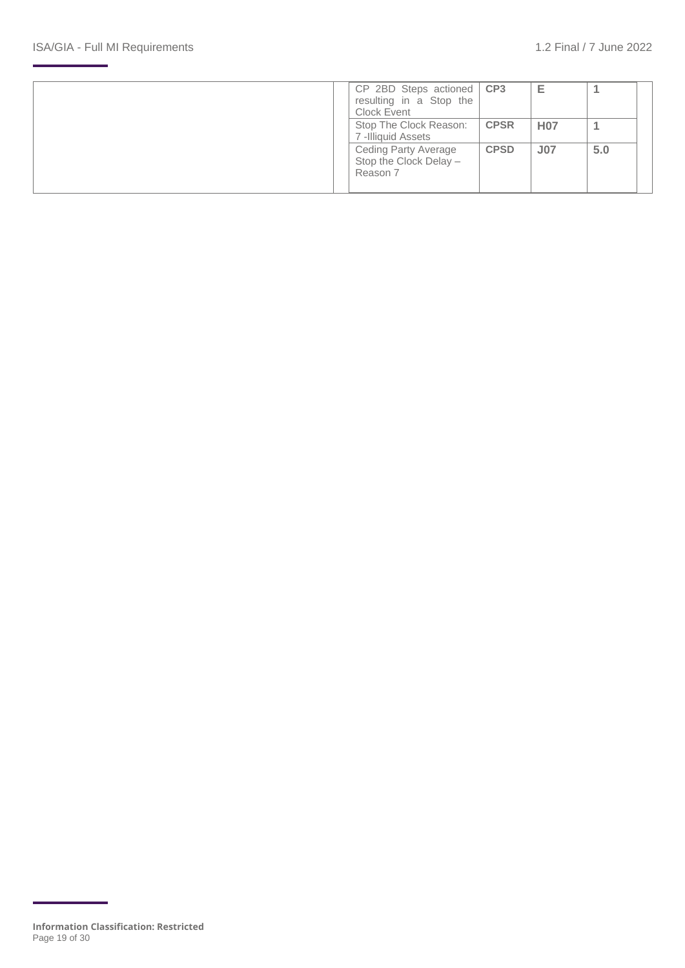|  | $CP$ 2BD Steps actioned $\overline{CP3}$<br>resulting in a Stop the<br>Clock Event |             | Е               |     |  |
|--|------------------------------------------------------------------------------------|-------------|-----------------|-----|--|
|  | Stop The Clock Reason:<br>7-Illiquid Assets                                        | <b>CPSR</b> | <b>H07</b>      |     |  |
|  | <b>Ceding Party Average</b><br>Stop the Clock Delay -<br>Reason 7                  | <b>CPSD</b> | J <sub>07</sub> | 5.0 |  |

**Information Classification: Restricted** Page 19 of 30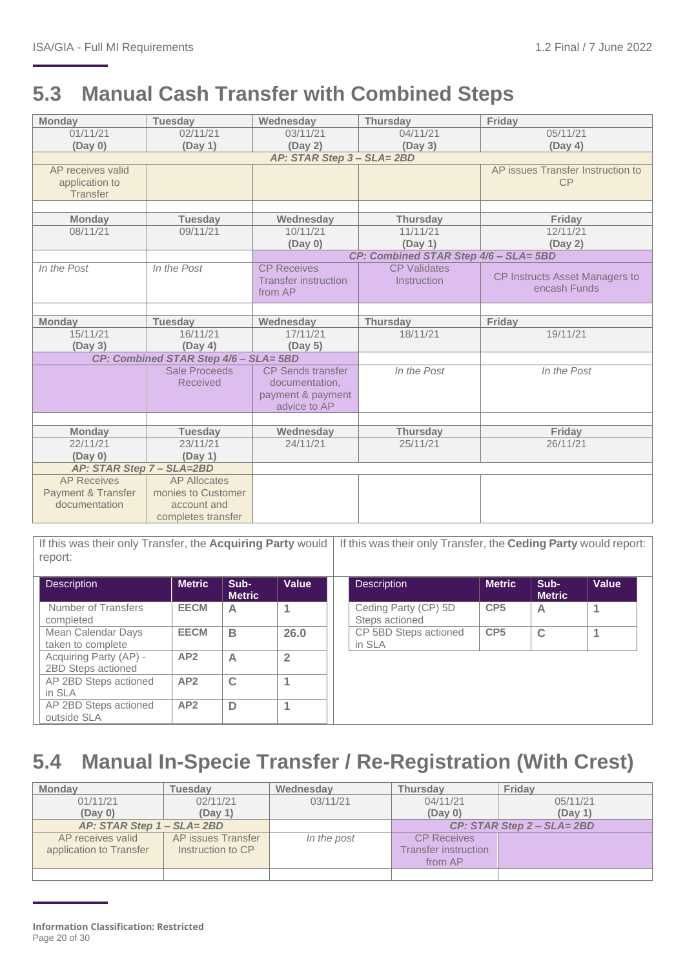## <span id="page-19-0"></span>**5.3 Manual Cash Transfer with Combined Steps**

| <b>Monday</b>             | <b>Tuesday</b>                        | Wednesday                   | <b>Thursday</b>                       | Friday                            |
|---------------------------|---------------------------------------|-----------------------------|---------------------------------------|-----------------------------------|
| 01/11/21                  | 02/11/21                              | 03/11/21                    | 04/11/21                              | 05/11/21                          |
| (Day 0)                   | (Day 1)                               | (Day 2)                     | (Day 3)                               | (Day 4)                           |
|                           |                                       | AP: STAR Step 3 - SLA= 2BD  |                                       |                                   |
| AP receives valid         |                                       |                             |                                       | AP issues Transfer Instruction to |
| application to            |                                       |                             |                                       | CP                                |
| <b>Transfer</b>           |                                       |                             |                                       |                                   |
|                           |                                       |                             |                                       |                                   |
| <b>Monday</b>             | <b>Tuesday</b>                        | Wednesday                   | <b>Thursday</b>                       | Friday                            |
| 08/11/21                  | 09/11/21                              | 10/11/21                    | 11/11/21                              | 12/11/21                          |
|                           |                                       | (Day 0)                     | (Day 1)                               | (Day 2)                           |
|                           |                                       |                             | CP: Combined STAR Step 4/6 - SLA= 5BD |                                   |
| In the Post               | In the Post                           | <b>CP Receives</b>          | <b>CP Validates</b>                   | CP Instructs Asset Managers to    |
|                           |                                       | <b>Transfer instruction</b> | Instruction                           | encash Funds                      |
|                           |                                       | from AP                     |                                       |                                   |
|                           |                                       |                             |                                       |                                   |
| <b>Monday</b>             | <b>Tuesday</b>                        | Wednesday                   | <b>Thursday</b>                       | Friday                            |
| 15/11/21                  | 16/11/21                              | 17/11/21                    | 18/11/21                              | 19/11/21                          |
| (Day 3)                   | (Day 4)                               | (Day 5)                     |                                       |                                   |
|                           | CP: Combined STAR Step 4/6 - SLA= 5BD |                             |                                       |                                   |
|                           | Sale Proceeds                         | <b>CP</b> Sends transfer    | In the Post                           | In the Post                       |
|                           | <b>Received</b>                       | documentation,              |                                       |                                   |
|                           |                                       | payment & payment           |                                       |                                   |
|                           |                                       | advice to AP                |                                       |                                   |
|                           |                                       |                             |                                       |                                   |
| <b>Monday</b>             | <b>Tuesday</b>                        | Wednesday                   | <b>Thursday</b>                       | Friday                            |
| 22/11/21                  | 23/11/21                              | 24/11/21                    | 25/11/21                              | 26/11/21                          |
| (Day 0)                   | (Day 1)                               |                             |                                       |                                   |
| AP: STAR Step 7 - SLA=2BD |                                       |                             |                                       |                                   |
| <b>AP Receives</b>        | <b>AP Allocates</b>                   |                             |                                       |                                   |
| Payment & Transfer        | monies to Customer                    |                             |                                       |                                   |
| documentation             | account and                           |                             |                                       |                                   |
|                           | completes transfer                    |                             |                                       |                                   |

If this was their only Transfer, the **Acquiring Party** would If this was their only Transfer, the **Ceding Party** would report: report:

| <b>Description</b>                           | <b>Metric</b> | Sub-<br><b>Metric</b> | Value                   | <b>Description</b>                     | <b>Metric</b>   | Sub-<br><b>Metric</b> | Value |
|----------------------------------------------|---------------|-----------------------|-------------------------|----------------------------------------|-----------------|-----------------------|-------|
| Number of Transfers<br>completed             | <b>EECM</b>   | А                     |                         | Ceding Party (CP) 5D<br>Steps actioned | CP <sub>5</sub> | A                     |       |
| Mean Calendar Days<br>taken to complete      | <b>EECM</b>   | B                     | 26.0                    | CP 5BD Steps actioned<br>in SLA        | CP <sub>5</sub> | $\mathbf C$           |       |
| Acquiring Party (AP) -<br>2BD Steps actioned | AP2           | А                     | $\overline{\mathbf{2}}$ |                                        |                 |                       |       |
| AP 2BD Steps actioned<br>in SLA              | AP2           | C                     |                         |                                        |                 |                       |       |
| AP 2BD Steps actioned<br>outside SLA         | AP2           | D                     | и                       |                                        |                 |                       |       |

## <span id="page-19-1"></span>**5.4 Manual In-Specie Transfer / Re-Registration (With Crest)**

| <b>Monday</b>              | <b>Tuesdav</b>     | Wednesday   | <b>Thursday</b>             | Fridav                     |
|----------------------------|--------------------|-------------|-----------------------------|----------------------------|
| 01/11/21                   | 02/11/21           | 03/11/21    | 04/11/21                    | 05/11/21                   |
| (Day 0)                    | (Day 1)            |             | (Day 0)                     | (Day 1)                    |
| AP: STAR Step 1 - SLA= 2BD |                    |             |                             | CP: STAR Step 2 - SLA= 2BD |
| AP receives valid          | AP issues Transfer | In the post | <b>CP Receives</b>          |                            |
| application to Transfer    | Instruction to CP  |             | <b>Transfer instruction</b> |                            |
|                            |                    |             | from AP                     |                            |
|                            |                    |             |                             |                            |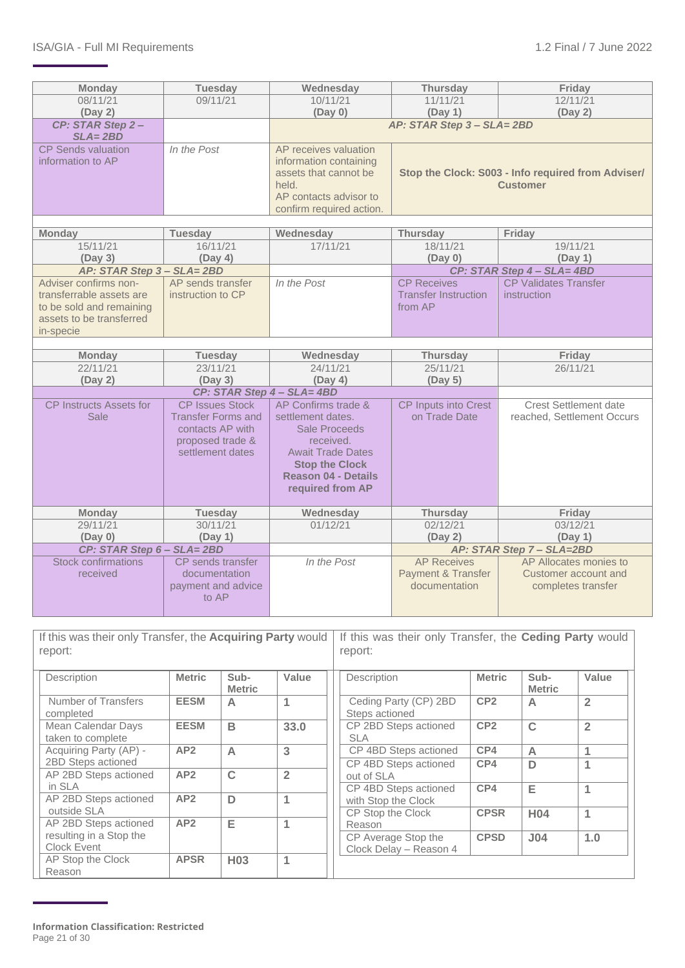| <b>Monday</b>                                                                                                          | <b>Tuesday</b>                                                                        | Wednesday                                                                                                                                                     | <b>Thursday</b>                                                       | Friday                                                               |  |  |  |  |
|------------------------------------------------------------------------------------------------------------------------|---------------------------------------------------------------------------------------|---------------------------------------------------------------------------------------------------------------------------------------------------------------|-----------------------------------------------------------------------|----------------------------------------------------------------------|--|--|--|--|
| 08/11/21                                                                                                               | 09/11/21                                                                              | 10/11/21                                                                                                                                                      | 11/11/21                                                              | 12/11/21                                                             |  |  |  |  |
| (Day 2)                                                                                                                |                                                                                       | (Day 0)<br>(Day 1)<br>(Day 2)                                                                                                                                 |                                                                       |                                                                      |  |  |  |  |
| CP: STAR Step 2-<br>$SLA = 2BD$                                                                                        |                                                                                       |                                                                                                                                                               | AP: STAR Step 3 - SLA= 2BD                                            |                                                                      |  |  |  |  |
| <b>CP Sends valuation</b><br>information to AP                                                                         | In the Post                                                                           | AP receives valuation<br>information containing<br>assets that cannot be<br>held.<br>AP contacts advisor to<br>confirm required action.                       | Stop the Clock: S003 - Info required from Adviser/<br><b>Customer</b> |                                                                      |  |  |  |  |
| <b>Monday</b>                                                                                                          | <b>Tuesday</b>                                                                        | Wednesday                                                                                                                                                     | Thursday                                                              | Friday                                                               |  |  |  |  |
| 15/11/21                                                                                                               | 16/11/21                                                                              | 17/11/21                                                                                                                                                      | 18/11/21                                                              | 19/11/21                                                             |  |  |  |  |
| (Day 3)                                                                                                                | (Day 4)                                                                               |                                                                                                                                                               | (Day 0)                                                               | (Day 1)                                                              |  |  |  |  |
| AP: STAR Step 3 - SLA= 2BD                                                                                             |                                                                                       |                                                                                                                                                               |                                                                       | CP: STAR Step 4 - SLA= 4BD                                           |  |  |  |  |
| Adviser confirms non-<br>transferrable assets are<br>to be sold and remaining<br>assets to be transferred<br>in-specie | AP sends transfer<br>instruction to CP                                                | <b>CP Receives</b><br>In the Post<br><b>Transfer Instruction</b><br>from AP                                                                                   |                                                                       | <b>CP Validates Transfer</b><br><i>instruction</i>                   |  |  |  |  |
|                                                                                                                        |                                                                                       |                                                                                                                                                               |                                                                       |                                                                      |  |  |  |  |
| <b>Monday</b>                                                                                                          | <b>Tuesday</b>                                                                        | Wednesday                                                                                                                                                     | <b>Thursday</b>                                                       | Friday                                                               |  |  |  |  |
| 22/11/21                                                                                                               | 23/11/21                                                                              | 24/11/21                                                                                                                                                      | 25/11/21                                                              | 26/11/21                                                             |  |  |  |  |
| (Day 2)                                                                                                                | (Day 3)                                                                               | (Day 4)                                                                                                                                                       | (Day 5)                                                               |                                                                      |  |  |  |  |
| <b>CP Instructs Assets for</b>                                                                                         | CP: STAR Step 4 - SLA= 4BD<br><b>CP Issues Stock</b>                                  | AP Confirms trade &                                                                                                                                           |                                                                       | <b>Crest Settlement date</b>                                         |  |  |  |  |
| <b>Sale</b>                                                                                                            | <b>Transfer Forms and</b><br>contacts AP with<br>proposed trade &<br>settlement dates | settlement dates.<br><b>Sale Proceeds</b><br>received.<br><b>Await Trade Dates</b><br><b>Stop the Clock</b><br><b>Reason 04 - Details</b><br>required from AP | CP Inputs into Crest<br>on Trade Date                                 | reached, Settlement Occurs                                           |  |  |  |  |
| <b>Monday</b>                                                                                                          | <b>Tuesday</b>                                                                        | Wednesday                                                                                                                                                     | Thursday                                                              | Friday                                                               |  |  |  |  |
| 29/11/21                                                                                                               | 30/11/21                                                                              | 01/12/21                                                                                                                                                      | 02/12/21                                                              | 03/12/21                                                             |  |  |  |  |
| (Day 0)                                                                                                                | (Day 1)                                                                               |                                                                                                                                                               | (Day 2)                                                               | (Day 1)                                                              |  |  |  |  |
| CP: STAR Step 6 - SLA= 2BD                                                                                             |                                                                                       |                                                                                                                                                               |                                                                       | AP: STAR Step 7 - SLA=2BD                                            |  |  |  |  |
| <b>Stock confirmations</b><br>received                                                                                 | CP sends transfer<br>documentation<br>payment and advice<br>to AP                     | In the Post                                                                                                                                                   | <b>AP</b> Receives<br><b>Payment &amp; Transfer</b><br>documentation  | AP Allocates monies to<br>Customer account and<br>completes transfer |  |  |  |  |

If this was their only Transfer, the **Acquiring Party** would If this was their only Transfer, the **Ceding Party** would report: report:

| Description                             | <b>Metric</b> | Sub-<br><b>Metric</b> | Value          | Description                                   | <b>Metric</b>   | Sub-<br><b>Metric</b> | Value          |
|-----------------------------------------|---------------|-----------------------|----------------|-----------------------------------------------|-----------------|-----------------------|----------------|
| Number of Transfers<br>completed        | <b>EESM</b>   | $\triangleright$      | 1              | Ceding Party (CP) 2BD<br>Steps actioned       | CP <sub>2</sub> | A                     | $\overline{2}$ |
| Mean Calendar Days<br>taken to complete | <b>EESM</b>   | B                     | 33.0           | CP 2BD Steps actioned<br><b>SLA</b>           | CP <sub>2</sub> | $\mathbf C$           | $\overline{2}$ |
| Acquiring Party (AP) -                  | AP2           | $\overline{A}$        | 3              | CP 4BD Steps actioned                         | CP4             | A                     |                |
| 2BD Steps actioned                      |               |                       |                | CP 4BD Steps actioned                         | CP4             | D                     |                |
| AP 2BD Steps actioned                   | AP2           | $\mathbf C$           | $\overline{2}$ | out of SLA                                    |                 |                       |                |
| in SLA                                  |               |                       |                | CP 4BD Steps actioned                         | CP4             | Е                     | 1              |
| AP 2BD Steps actioned                   | AP2           | D                     | 1              | with Stop the Clock                           |                 |                       |                |
| outside SLA                             |               |                       |                | CP Stop the Clock                             | <b>CPSR</b>     | H <sub>04</sub>       | 1              |
| AP 2BD Steps actioned                   | AP2           | Е                     | 1              | Reason                                        |                 |                       |                |
| resulting in a Stop the<br>Clock Event  |               |                       |                | CP Average Stop the<br>Clock Delay - Reason 4 | <b>CPSD</b>     | J <sub>04</sub>       | 1.0            |
| AP Stop the Clock                       | <b>APSR</b>   | H <sub>03</sub>       | 1              |                                               |                 |                       |                |
| Reason                                  |               |                       |                |                                               |                 |                       |                |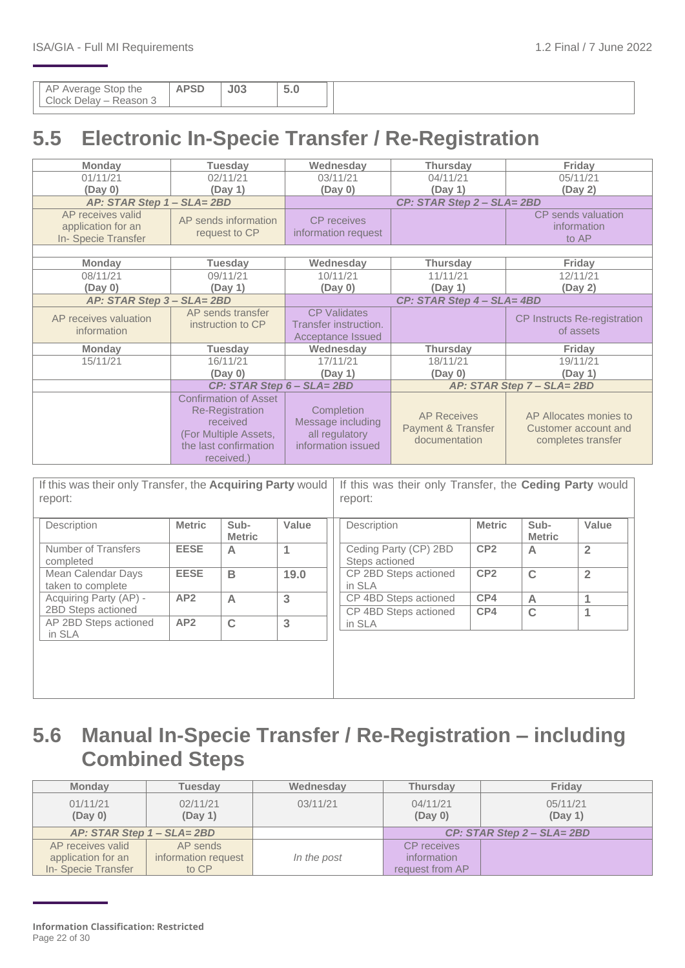|  | $ \sim$<br>$\cup$ . $\cup$ |
|--|----------------------------|
|--|----------------------------|

## <span id="page-21-0"></span>**5.5 Electronic In-Specie Transfer / Re-Registration**

| <b>Monday</b>                                                 | <b>Tuesday</b>                                                                                                                     | Wednesday                                                               | <b>Thursday</b>                                                      | Friday                                                               |  |  |  |
|---------------------------------------------------------------|------------------------------------------------------------------------------------------------------------------------------------|-------------------------------------------------------------------------|----------------------------------------------------------------------|----------------------------------------------------------------------|--|--|--|
| 01/11/21                                                      | 02/11/21                                                                                                                           | 03/11/21                                                                | 04/11/21                                                             | 05/11/21                                                             |  |  |  |
| (Day 0)                                                       | (Day 1)                                                                                                                            | (Day 0)                                                                 | (Day 1)                                                              | (Day 2)                                                              |  |  |  |
| AP: STAR Step 1 - SLA= 2BD                                    |                                                                                                                                    |                                                                         | CP: STAR Step 2 - SLA= 2BD                                           |                                                                      |  |  |  |
| AP receives valid<br>application for an<br>In-Specie Transfer | AP sends information<br>request to CP                                                                                              | <b>CP</b> receives<br>information request                               |                                                                      | CP sends valuation<br>information<br>to AP                           |  |  |  |
| <b>Monday</b>                                                 | <b>Tuesday</b>                                                                                                                     | Wednesday                                                               | <b>Thursday</b>                                                      | Friday                                                               |  |  |  |
| 08/11/21<br>(Day 0)                                           | 09/11/21<br>(Day 1)                                                                                                                | 10/11/21<br>(Day 0)                                                     | 11/11/21<br>(Day 1)                                                  | 12/11/21<br>(Day 2)                                                  |  |  |  |
| AP: STAR Step 3 - SLA= 2BD                                    |                                                                                                                                    |                                                                         | CP: STAR Step 4 - SLA= 4BD                                           |                                                                      |  |  |  |
| AP receives valuation<br>information                          | AP sends transfer<br>instruction to CP                                                                                             | <b>CP Validates</b><br>Transfer instruction.<br>Acceptance Issued       |                                                                      | <b>CP Instructs Re-registration</b><br>of assets                     |  |  |  |
| <b>Monday</b>                                                 | <b>Tuesday</b>                                                                                                                     | Wednesday                                                               | <b>Thursday</b>                                                      | Friday                                                               |  |  |  |
| 15/11/21                                                      | 16/11/21<br>(Day 0)                                                                                                                | 17/11/21<br>(Day 1)                                                     | 18/11/21<br>(Day 0)                                                  | 19/11/21<br>(Day 1)                                                  |  |  |  |
|                                                               | CP: STAR Step 6 - SLA= 2BD                                                                                                         |                                                                         |                                                                      | AP: STAR Step 7 - SLA= 2BD                                           |  |  |  |
|                                                               | <b>Confirmation of Asset</b><br><b>Re-Registration</b><br>received<br>(For Multiple Assets,<br>the last confirmation<br>received.) | Completion<br>Message including<br>all regulatory<br>information issued | <b>AP Receives</b><br><b>Payment &amp; Transfer</b><br>documentation | AP Allocates monies to<br>Customer account and<br>completes transfer |  |  |  |

| If this was their only Transfer, the Acquiring Party would<br>report: |               |                       |       | If this was their only Transfer, the Ceding Party would<br>report: |                 |                       |                |
|-----------------------------------------------------------------------|---------------|-----------------------|-------|--------------------------------------------------------------------|-----------------|-----------------------|----------------|
| Description                                                           | <b>Metric</b> | Sub-<br><b>Metric</b> | Value | Description                                                        | <b>Metric</b>   | Sub-<br><b>Metric</b> | Value          |
| Number of Transfers<br>completed                                      | <b>EESE</b>   | A                     | 1     | Ceding Party (CP) 2BD<br>Steps actioned                            | CP <sub>2</sub> | A                     | $\overline{2}$ |
| Mean Calendar Days<br>taken to complete                               | <b>EESE</b>   | B                     | 19.0  | CP 2BD Steps actioned<br>in SLA                                    | CP <sub>2</sub> | $\mathbf C$           | $\overline{2}$ |
| Acquiring Party (AP) -<br>2BD Steps actioned                          | AP2           | $\overline{A}$        | 3     | CP 4BD Steps actioned                                              | CP4             | A                     |                |
| AP 2BD Steps actioned<br>in SLA                                       | AP2           | $\mathbf C$           | 3     | CP 4BD Steps actioned<br>in SLA                                    | CP4             | $\mathbf C$           |                |
|                                                                       |               |                       |       |                                                                    |                 |                       |                |
|                                                                       |               |                       |       |                                                                    |                 |                       |                |

## <span id="page-21-1"></span>**5.6 Manual In-Specie Transfer / Re-Registration – including Combined Steps**

| <b>Monday</b>                                                 | <b>Tuesdav</b>                           | Wednesday   | <b>Thursday</b>                                      | <b>Friday</b>                   |  |
|---------------------------------------------------------------|------------------------------------------|-------------|------------------------------------------------------|---------------------------------|--|
| 01/11/21<br>02/11/21<br>03/11/21<br>(Day 1)<br>(Day 0)        |                                          |             | 04/11/21<br>05/11/21<br>(Day 1)<br>(Day 0)           |                                 |  |
| AP: STAR Step 1 - SLA= 2BD                                    |                                          |             |                                                      | $CP: STAR$ Step $2 - SLA = 2BD$ |  |
| AP receives valid<br>application for an<br>In-Specie Transfer | AP sends<br>information request<br>to CP | In the post | <b>CP</b> receives<br>information<br>request from AP |                                 |  |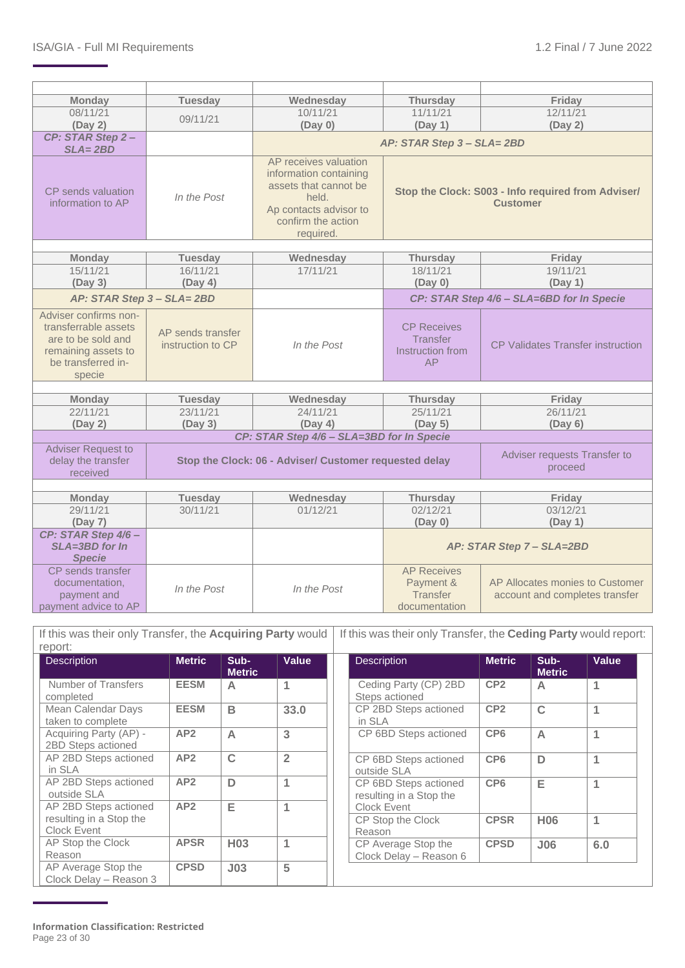| <b>Monday</b>                        |                            | Wednesday                                                                | <b>Thursday</b>                           | Friday                                             |  |  |
|--------------------------------------|----------------------------|--------------------------------------------------------------------------|-------------------------------------------|----------------------------------------------------|--|--|
| 08/11/21                             | <b>Tuesday</b>             | 10/11/21                                                                 | 11/11/21                                  | 12/11/21                                           |  |  |
|                                      | 09/11/21                   |                                                                          |                                           |                                                    |  |  |
| (Day 2)                              |                            | (Day 0)                                                                  | (Day 1)                                   | (Day 2)                                            |  |  |
| CP: STAR Step 2-                     |                            |                                                                          | AP: STAR Step 3 - SLA= 2BD                |                                                    |  |  |
| $SLA = 2BD$                          |                            |                                                                          |                                           |                                                    |  |  |
|                                      |                            | AP receives valuation<br>information containing<br>assets that cannot be |                                           |                                                    |  |  |
| CP sends valuation                   | In the Post                | held.                                                                    |                                           | Stop the Clock: S003 - Info required from Adviser/ |  |  |
| information to AP                    |                            | Ap contacts advisor to                                                   |                                           | <b>Customer</b>                                    |  |  |
|                                      |                            | confirm the action                                                       |                                           |                                                    |  |  |
|                                      |                            | required.                                                                |                                           |                                                    |  |  |
|                                      |                            |                                                                          |                                           |                                                    |  |  |
| <b>Monday</b>                        | <b>Tuesday</b>             | Wednesday                                                                | <b>Thursday</b>                           | Friday                                             |  |  |
| 15/11/21                             | 16/11/21                   | 17/11/21                                                                 | 18/11/21                                  | 19/11/21                                           |  |  |
| (Day 3)                              | (Day 4)                    |                                                                          | (Day 0)                                   | (Day 1)                                            |  |  |
| AP: STAR Step 3 - SLA= 2BD           |                            |                                                                          | CP: STAR Step 4/6 - SLA=6BD for In Specie |                                                    |  |  |
| Adviser confirms non-                |                            |                                                                          |                                           |                                                    |  |  |
| transferrable assets                 | AP sends transfer          |                                                                          | <b>CP Receives</b>                        |                                                    |  |  |
| are to be sold and                   | instruction to CP          | In the Post                                                              | <b>Transfer</b>                           | <b>CP Validates Transfer instruction</b>           |  |  |
| remaining assets to                  |                            |                                                                          | Instruction from                          |                                                    |  |  |
| be transferred in-                   |                            |                                                                          | AP                                        |                                                    |  |  |
| specie                               |                            |                                                                          |                                           |                                                    |  |  |
|                                      |                            |                                                                          |                                           |                                                    |  |  |
| <b>Monday</b>                        | <b>Tuesday</b>             | Wednesday                                                                | <b>Thursday</b>                           | Friday                                             |  |  |
| 22/11/21                             | 23/11/21                   | 24/11/21                                                                 | 25/11/21                                  | 26/11/21                                           |  |  |
| (Day 2)                              | (Day 3)                    | (Day 4)                                                                  | (Day 5)                                   | (Day 6)                                            |  |  |
|                                      |                            | CP: STAR Step 4/6 - SLA=3BD for In Specie                                |                                           |                                                    |  |  |
| <b>Adviser Request to</b>            |                            |                                                                          |                                           | Adviser requests Transfer to                       |  |  |
| delay the transfer                   |                            | Stop the Clock: 06 - Adviser/ Customer requested delay                   |                                           | proceed                                            |  |  |
| received                             |                            |                                                                          |                                           |                                                    |  |  |
|                                      |                            |                                                                          |                                           |                                                    |  |  |
| <b>Monday</b><br>29/11/21            | <b>Tuesday</b><br>30/11/21 | Wednesday<br>01/12/21                                                    | <b>Thursday</b><br>02/12/21               | Friday<br>03/12/21                                 |  |  |
|                                      |                            |                                                                          |                                           |                                                    |  |  |
| (Day 7)                              |                            |                                                                          | (Day 0)                                   | (Day 1)                                            |  |  |
| CP: STAR Step 4/6-<br>SLA=3BD for In |                            |                                                                          |                                           |                                                    |  |  |
|                                      |                            |                                                                          | AP: STAR Step 7 - SLA=2BD                 |                                                    |  |  |
| <b>Specie</b><br>CP sends transfer   |                            |                                                                          | <b>AP Receives</b>                        |                                                    |  |  |
| documentation,                       |                            |                                                                          | Payment &                                 | AP Allocates monies to Customer                    |  |  |
| payment and                          | In the Post                | In the Post                                                              | Transfer                                  | account and completes transfer                     |  |  |
| payment advice to AP                 |                            |                                                                          | documentation                             |                                                    |  |  |
|                                      |                            |                                                                          |                                           |                                                    |  |  |

| If this was their only Transfer, the Acquiring Party would   If this was their only Transfer, the Ceding Party would report: |        |      |                    |  |                    |             |              |  |
|------------------------------------------------------------------------------------------------------------------------------|--------|------|--------------------|--|--------------------|-------------|--------------|--|
| report:                                                                                                                      |        |      |                    |  |                    |             |              |  |
| Description                                                                                                                  | Metric | Sub- | Value <sup>1</sup> |  | <b>Description</b> | Metric Sub- | <b>Value</b> |  |

| Description                                   | Metric          | Sub-<br><b>Metric</b> | value          | <b>Description</b>                               | <b>Metric</b>   | Sub-<br><b>Metric</b> | value |
|-----------------------------------------------|-----------------|-----------------------|----------------|--------------------------------------------------|-----------------|-----------------------|-------|
| Number of Transfers<br>completed              | <b>EESM</b>     | А                     |                | Ceding Party (CP) 2BD<br>Steps actioned          | CP <sub>2</sub> | A                     | 1     |
| Mean Calendar Days<br>taken to complete       | <b>EESM</b>     | B                     | 33.0           | CP 2BD Steps actioned<br>in SLA                  | CP <sub>2</sub> | $\mathbf C$           | 1     |
| Acquiring Party (AP) -<br>2BD Steps actioned  | AP2             | $\overline{A}$        | 3              | CP 6BD Steps actioned                            | CP <sub>6</sub> | $\overline{A}$        | 1     |
| AP 2BD Steps actioned<br>in SLA               | AP2             | C                     | $\overline{2}$ | CP 6BD Steps actioned<br>outside SLA             | CP <sub>6</sub> | D                     | 1     |
| AP 2BD Steps actioned<br>outside SLA          | AP <sub>2</sub> | D                     | 1              | CP 6BD Steps actioned<br>resulting in a Stop the | CP <sub>6</sub> | Е                     | 1     |
| AP 2BD Steps actioned                         | AP <sub>2</sub> | Е                     | 1              | Clock Event                                      |                 |                       |       |
| resulting in a Stop the<br><b>Clock Event</b> |                 |                       |                | CP Stop the Clock<br>Reason                      | <b>CPSR</b>     | <b>H06</b>            | 1     |
| AP Stop the Clock<br>Reason                   | <b>APSR</b>     | H <sub>03</sub>       | 1              | CP Average Stop the<br>Clock Delay - Reason 6    | <b>CPSD</b>     | J06                   | 6.0   |
| AP Average Stop the<br>Clock Delay - Reason 3 | <b>CPSD</b>     | J <sub>03</sub>       | 5              |                                                  |                 |                       |       |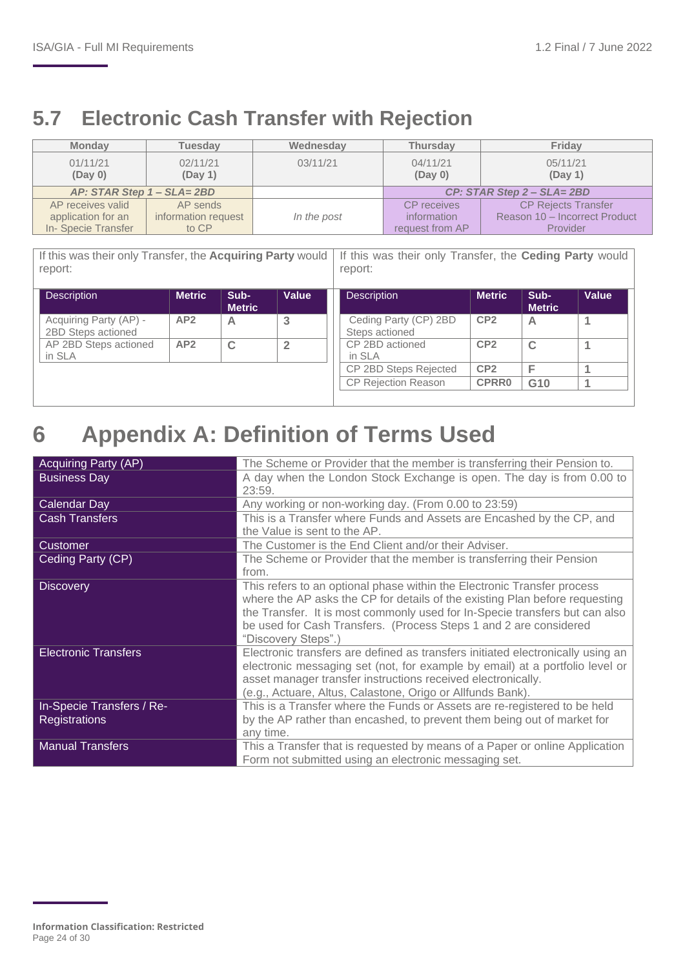## <span id="page-23-0"></span>**5.7 Electronic Cash Transfer with Rejection**

| <b>Monday</b>              | <b>Tuesday</b>      | Wednesday   | <b>Thursday</b>     | Friday                        |
|----------------------------|---------------------|-------------|---------------------|-------------------------------|
| 01/11/21<br>(Day 0)        | 02/11/21<br>(Day 1) | 03/11/21    | 04/11/21<br>(Day 0) | 05/11/21<br>(Day 1)           |
| AP: STAR Step 1 - SLA= 2BD |                     |             |                     | $CP: STAR Step 2 - SLA = 2BD$ |
| AP receives valid          | AP sends            |             | <b>CP</b> receives  | <b>CP Rejects Transfer</b>    |
| application for an         | information request | In the post | information         | Reason 10 - Incorrect Product |
| In-Specie Transfer         | to CP               |             | request from AP     | Provider                      |

If this was their only Transfer, the **Acquiring Party** would If this was their only Transfer, the **Ceding Party** would report: report:

| <b>Description</b>                           | <b>Metric</b> | Sub-<br><b>Metric</b> | Value | <b>Description</b>                      | <b>Metric</b>   | Sub-<br><b>Metric</b> | Value |
|----------------------------------------------|---------------|-----------------------|-------|-----------------------------------------|-----------------|-----------------------|-------|
| Acquiring Party (AP) -<br>2BD Steps actioned | AP2           | Α                     | 3     | Ceding Party (CP) 2BD<br>Steps actioned | CP <sub>2</sub> | A                     |       |
| AP 2BD Steps actioned<br>in SLA              | AP2           | C                     |       | CP 2BD actioned<br>in SLA               | CP <sub>2</sub> | $\mathbf C$           |       |
|                                              |               |                       |       | CP 2BD Steps Rejected                   | CP <sub>2</sub> |                       |       |
|                                              |               |                       |       | <b>CP Rejection Reason</b>              | <b>CPRR0</b>    | G <sub>10</sub>       |       |

## <span id="page-23-1"></span>**6 Appendix A: Definition of Terms Used**

| <b>Acquiring Party (AP)</b> | The Scheme or Provider that the member is transferring their Pension to.        |
|-----------------------------|---------------------------------------------------------------------------------|
| <b>Business Day</b>         | A day when the London Stock Exchange is open. The day is from 0.00 to           |
|                             | 23:59.                                                                          |
| Calendar Day                | Any working or non-working day. (From 0.00 to 23:59)                            |
| <b>Cash Transfers</b>       | This is a Transfer where Funds and Assets are Encashed by the CP, and           |
|                             | the Value is sent to the AP.                                                    |
| Customer                    | The Customer is the End Client and/or their Adviser.                            |
| Ceding Party (CP)           | The Scheme or Provider that the member is transferring their Pension            |
|                             | from.                                                                           |
| <b>Discovery</b>            | This refers to an optional phase within the Electronic Transfer process         |
|                             | where the AP asks the CP for details of the existing Plan before requesting     |
|                             | the Transfer. It is most commonly used for In-Specie transfers but can also     |
|                             | be used for Cash Transfers. (Process Steps 1 and 2 are considered               |
|                             | "Discovery Steps".)                                                             |
| <b>Electronic Transfers</b> | Electronic transfers are defined as transfers initiated electronically using an |
|                             | electronic messaging set (not, for example by email) at a portfolio level or    |
|                             | asset manager transfer instructions received electronically.                    |
|                             | (e.g., Actuare, Altus, Calastone, Origo or Allfunds Bank).                      |
| In-Specie Transfers / Re-   | This is a Transfer where the Funds or Assets are re-registered to be held       |
| <b>Registrations</b>        | by the AP rather than encashed, to prevent them being out of market for         |
|                             | any time.                                                                       |
| <b>Manual Transfers</b>     | This a Transfer that is requested by means of a Paper or online Application     |
|                             | Form not submitted using an electronic messaging set.                           |

**Information Classification: Restricted** Page 24 of 30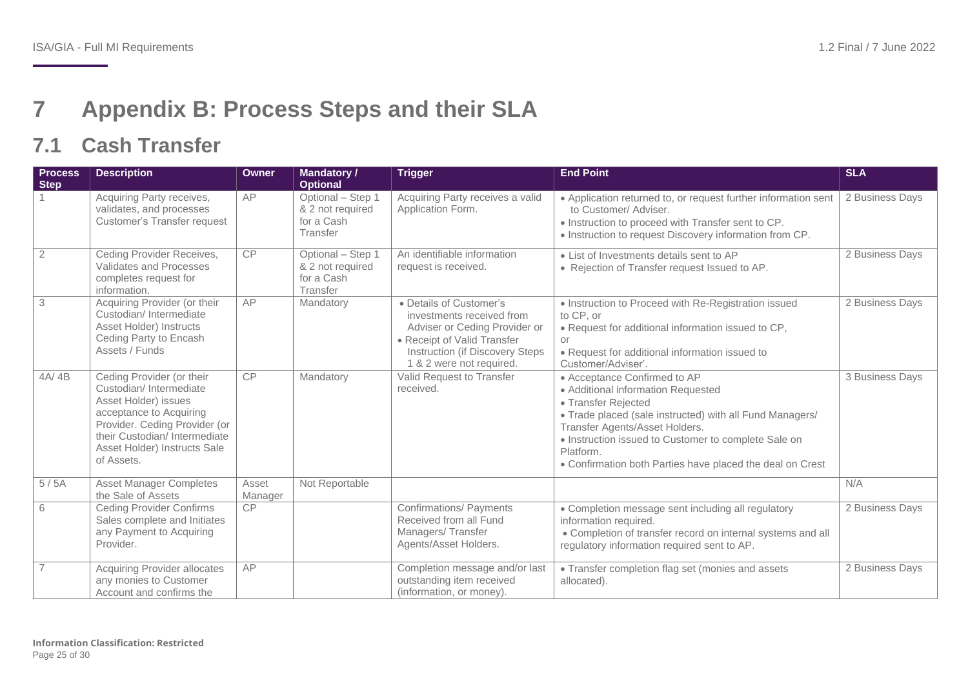## **7 Appendix B: Process Steps and their SLA**

## **7.1 Cash Transfer**

<span id="page-24-1"></span><span id="page-24-0"></span>

| <b>Process</b><br><b>Step</b> | <b>Description</b>                                                                                                                                                                                                    | <b>Owner</b>     | <b>Mandatory /</b><br><b>Optional</b>                           | <b>Trigger</b>                                                                                                                                                                      | <b>End Point</b>                                                                                                                                                                                                                                                                                                          | <b>SLA</b>      |
|-------------------------------|-----------------------------------------------------------------------------------------------------------------------------------------------------------------------------------------------------------------------|------------------|-----------------------------------------------------------------|-------------------------------------------------------------------------------------------------------------------------------------------------------------------------------------|---------------------------------------------------------------------------------------------------------------------------------------------------------------------------------------------------------------------------------------------------------------------------------------------------------------------------|-----------------|
|                               | Acquiring Party receives,<br>validates, and processes<br><b>Customer's Transfer request</b>                                                                                                                           | AP               | Optional - Step 1<br>& 2 not required<br>for a Cash<br>Transfer | Acquiring Party receives a valid<br>Application Form.                                                                                                                               | • Application returned to, or request further information sent<br>to Customer/ Adviser.<br>• Instruction to proceed with Transfer sent to CP.<br>• Instruction to request Discovery information from CP.                                                                                                                  | 2 Business Days |
| $\overline{2}$                | Ceding Provider Receives,<br>Validates and Processes<br>completes request for<br>information.                                                                                                                         | CP               | Optional - Step 1<br>& 2 not required<br>for a Cash<br>Transfer | An identifiable information<br>request is received.                                                                                                                                 | • List of Investments details sent to AP<br>• Rejection of Transfer request Issued to AP.                                                                                                                                                                                                                                 | 2 Business Days |
| $\overline{3}$                | Acquiring Provider (or their<br>Custodian/ Intermediate<br>Asset Holder) Instructs<br>Ceding Party to Encash<br>Assets / Funds                                                                                        | AP               | Mandatory                                                       | • Details of Customer's<br>investments received from<br>Adviser or Ceding Provider or<br>• Receipt of Valid Transfer<br>Instruction (if Discovery Steps<br>1 & 2 were not required. | • Instruction to Proceed with Re-Registration issued<br>to CP, or<br>• Request for additional information issued to CP,<br>or<br>• Request for additional information issued to<br>Customer/Adviser'.                                                                                                                     | 2 Business Days |
| 4A/4B                         | Ceding Provider (or their<br>Custodian/Intermediate<br>Asset Holder) issues<br>acceptance to Acquiring<br>Provider. Ceding Provider (or<br>their Custodian/Intermediate<br>Asset Holder) Instructs Sale<br>of Assets. | <b>CP</b>        | Mandatory                                                       | Valid Request to Transfer<br>received.                                                                                                                                              | • Acceptance Confirmed to AP<br>· Additional information Requested<br>• Transfer Rejected<br>• Trade placed (sale instructed) with all Fund Managers/<br>Transfer Agents/Asset Holders.<br>• Instruction issued to Customer to complete Sale on<br>Platform.<br>• Confirmation both Parties have placed the deal on Crest | 3 Business Days |
| 5/5A                          | <b>Asset Manager Completes</b><br>the Sale of Assets                                                                                                                                                                  | Asset<br>Manager | Not Reportable                                                  |                                                                                                                                                                                     |                                                                                                                                                                                                                                                                                                                           | N/A             |
| 6                             | <b>Ceding Provider Confirms</b><br>Sales complete and Initiates<br>any Payment to Acquiring<br>Provider.                                                                                                              | CP               |                                                                 | <b>Confirmations/ Payments</b><br>Received from all Fund<br>Managers/Transfer<br>Agents/Asset Holders.                                                                              | • Completion message sent including all regulatory<br>information required.<br>• Completion of transfer record on internal systems and all<br>regulatory information required sent to AP.                                                                                                                                 | 2 Business Days |
| $\overline{7}$                | <b>Acquiring Provider allocates</b><br>any monies to Customer<br>Account and confirms the                                                                                                                             | AP               |                                                                 | Completion message and/or last<br>outstanding item received<br>(information, or money).                                                                                             | • Transfer completion flag set (monies and assets<br>allocated).                                                                                                                                                                                                                                                          | 2 Business Days |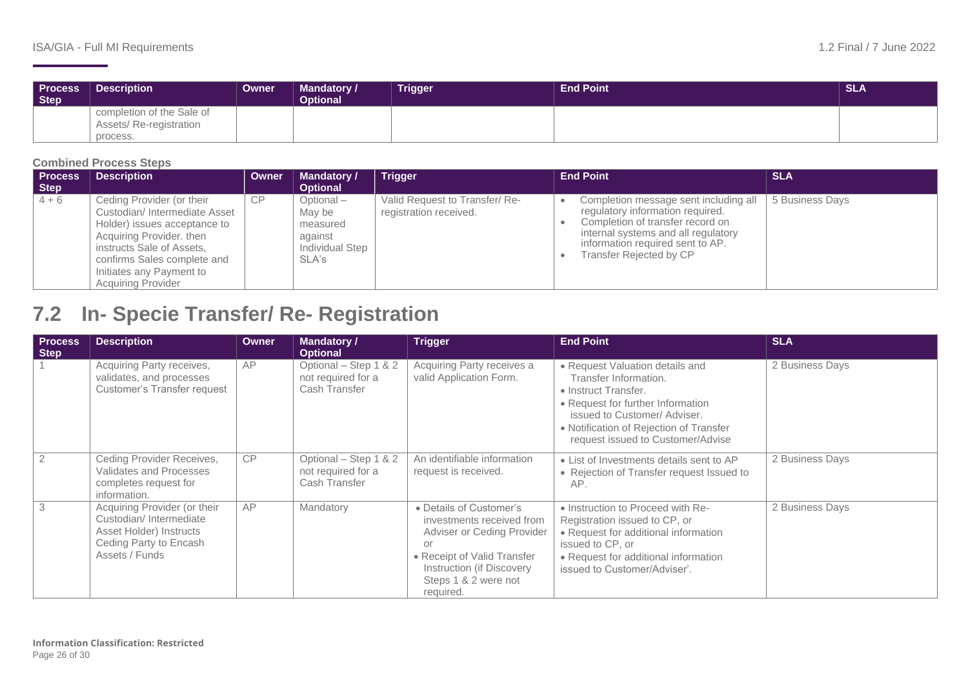| <b>Process</b><br><b>Step</b> | <b>Description</b>                                               | Owner | <b>Mandatory /</b><br><b>Optional</b> | Trigger | <b>End Point</b> | <b>SLA</b> |
|-------------------------------|------------------------------------------------------------------|-------|---------------------------------------|---------|------------------|------------|
|                               | completion of the Sale of<br>Assets/ Re-registration<br>process. |       |                                       |         |                  |            |

#### **Combined Process Steps**

| <b>Process</b><br>Step | <b>Description</b>                                                                                                                                                                                                                         | <b>Owner</b> | <b>Mandatory /</b><br><b>Optional</b>                                     | <b>Trigger</b>                                          | <b>End Point</b>                                                                                                                                                                                                    | <b>SLA</b>      |
|------------------------|--------------------------------------------------------------------------------------------------------------------------------------------------------------------------------------------------------------------------------------------|--------------|---------------------------------------------------------------------------|---------------------------------------------------------|---------------------------------------------------------------------------------------------------------------------------------------------------------------------------------------------------------------------|-----------------|
| $4 + 6$                | Ceding Provider (or their<br>Custodian/Intermediate Asset<br>Holder) issues acceptance to<br>Acquiring Provider, then<br>instructs Sale of Assets,<br>confirms Sales complete and<br>Initiates any Payment to<br><b>Acquiring Provider</b> | CP           | $Optional -$<br>Mav be<br>measured<br>against<br>Individual Step<br>SLA's | Valid Request to Transfer/Re-<br>registration received. | Completion message sent including all<br>regulatory information required.<br>Completion of transfer record on<br>internal systems and all regulatory<br>information required sent to AP.<br>Transfer Rejected by CP | 5 Business Days |

## **7.2 In- Specie Transfer/ Re- Registration**

<span id="page-25-0"></span>

| <b>Process</b><br>Step | <b>Description</b>                                                                                                            | Owner | <b>Mandatory /</b><br><b>Optional</b>                        | <b>Trigger</b>                                                                                                                                                                            | <b>End Point</b>                                                                                                                                                                                                                     | <b>SLA</b>      |
|------------------------|-------------------------------------------------------------------------------------------------------------------------------|-------|--------------------------------------------------------------|-------------------------------------------------------------------------------------------------------------------------------------------------------------------------------------------|--------------------------------------------------------------------------------------------------------------------------------------------------------------------------------------------------------------------------------------|-----------------|
|                        | Acquiring Party receives,<br>validates, and processes<br><b>Customer's Transfer request</b>                                   | AP    | Optional - Step 1 & 2<br>not required for a<br>Cash Transfer | Acquiring Party receives a<br>valid Application Form.                                                                                                                                     | • Request Valuation details and<br>Transfer Information.<br>• Instruct Transfer.<br>• Request for further Information<br>issued to Customer/Adviser.<br>• Notification of Rejection of Transfer<br>request issued to Customer/Advise | 2 Business Days |
| $\overline{2}$         | Ceding Provider Receives,<br>Validates and Processes<br>completes request for<br>information.                                 | CP    | Optional - Step 1 & 2<br>not required for a<br>Cash Transfer | An identifiable information<br>request is received.                                                                                                                                       | • List of Investments details sent to AP<br>• Rejection of Transfer request Issued to<br>AP.                                                                                                                                         | 2 Business Days |
| 3                      | Acquiring Provider (or their<br>Custodian/Intermediate<br>Asset Holder) Instructs<br>Ceding Party to Encash<br>Assets / Funds | AP    | Mandatory                                                    | • Details of Customer's<br>investments received from<br>Adviser or Ceding Provider<br>or<br>• Receipt of Valid Transfer<br>Instruction (if Discovery<br>Steps 1 & 2 were not<br>required. | • Instruction to Proceed with Re-<br>Registration issued to CP, or<br>• Request for additional information<br>issued to CP, or<br>• Request for additional information<br>issued to Customer/Adviser'.                               | 2 Business Days |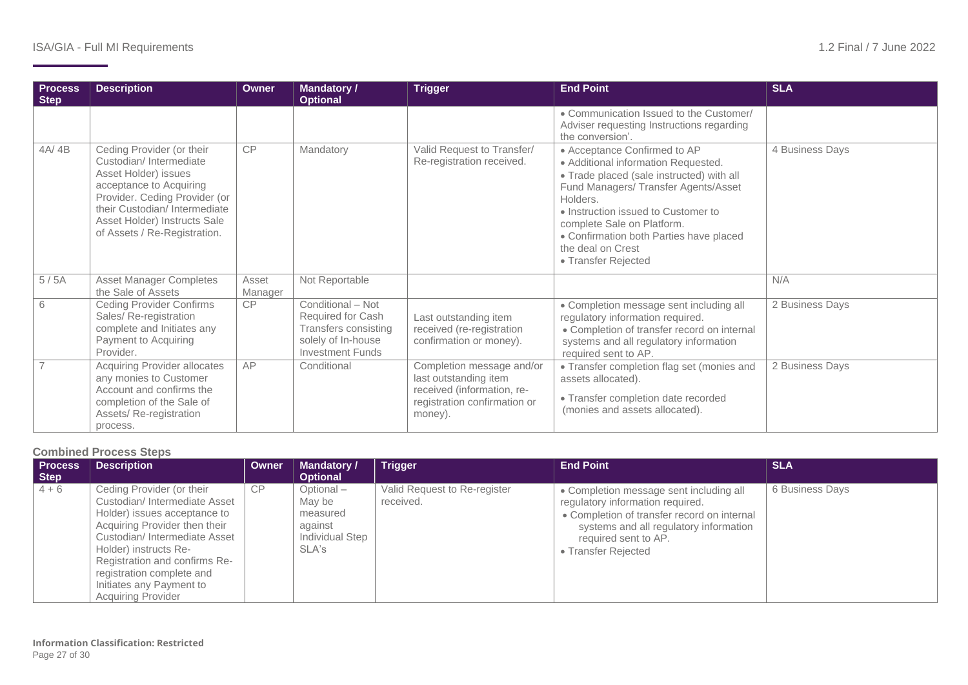| <b>Process</b><br><b>Step</b> | <b>Description</b>                                                                                                                                                                                                                      | <b>Owner</b>     | <b>Mandatory /</b><br><b>Optional</b>                                                                           | <b>Trigger</b>                                                                                                              | <b>End Point</b>                                                                                                                                                                                                                                                                                                                 | <b>SLA</b>      |
|-------------------------------|-----------------------------------------------------------------------------------------------------------------------------------------------------------------------------------------------------------------------------------------|------------------|-----------------------------------------------------------------------------------------------------------------|-----------------------------------------------------------------------------------------------------------------------------|----------------------------------------------------------------------------------------------------------------------------------------------------------------------------------------------------------------------------------------------------------------------------------------------------------------------------------|-----------------|
|                               |                                                                                                                                                                                                                                         |                  |                                                                                                                 |                                                                                                                             | • Communication Issued to the Customer/<br>Adviser requesting Instructions regarding<br>the conversion'.                                                                                                                                                                                                                         |                 |
| 4A/4B                         | Ceding Provider (or their<br>Custodian/Intermediate<br>Asset Holder) issues<br>acceptance to Acquiring<br>Provider. Ceding Provider (or<br>their Custodian/Intermediate<br>Asset Holder) Instructs Sale<br>of Assets / Re-Registration. | CP               | Mandatory                                                                                                       | Valid Request to Transfer/<br>Re-registration received.                                                                     | • Acceptance Confirmed to AP<br>• Additional information Requested.<br>• Trade placed (sale instructed) with all<br>Fund Managers/ Transfer Agents/Asset<br>Holders.<br>• Instruction issued to Customer to<br>complete Sale on Platform.<br>• Confirmation both Parties have placed<br>the deal on Crest<br>• Transfer Rejected | 4 Business Days |
| 5/5A                          | <b>Asset Manager Completes</b><br>the Sale of Assets                                                                                                                                                                                    | Asset<br>Manager | Not Reportable                                                                                                  |                                                                                                                             |                                                                                                                                                                                                                                                                                                                                  | N/A             |
| 6                             | <b>Ceding Provider Confirms</b><br>Sales/ Re-registration<br>complete and Initiates any<br>Payment to Acquiring<br>Provider.                                                                                                            | CP               | Conditional - Not<br>Required for Cash<br>Transfers consisting<br>solely of In-house<br><b>Investment Funds</b> | Last outstanding item<br>received (re-registration<br>confirmation or money).                                               | • Completion message sent including all<br>regulatory information required.<br>• Completion of transfer record on internal<br>systems and all regulatory information<br>required sent to AP.                                                                                                                                     | 2 Business Days |
|                               | <b>Acquiring Provider allocates</b><br>any monies to Customer<br>Account and confirms the<br>completion of the Sale of<br>Assets/Re-registration<br>process.                                                                            | AP               | Conditional                                                                                                     | Completion message and/or<br>last outstanding item<br>received (information, re-<br>registration confirmation or<br>money). | • Transfer completion flag set (monies and<br>assets allocated).<br>• Transfer completion date recorded<br>(monies and assets allocated).                                                                                                                                                                                        | 2 Business Days |

#### **Combined Process Steps**

| <b>Process</b><br>Step | <b>Description</b>                                                                                                                                                                                                                                                                                         | Owner | <b>Mandatory /</b><br><b>Optional</b>                                  | <b>Trigger</b>                            | <b>End Point</b>                                                                                                                                                                                                    | <b>SLA</b>      |
|------------------------|------------------------------------------------------------------------------------------------------------------------------------------------------------------------------------------------------------------------------------------------------------------------------------------------------------|-------|------------------------------------------------------------------------|-------------------------------------------|---------------------------------------------------------------------------------------------------------------------------------------------------------------------------------------------------------------------|-----------------|
| $4 + 6$                | Ceding Provider (or their<br>Custodian/Intermediate Asset<br>Holder) issues acceptance to<br>Acquiring Provider then their<br>Custodian/Intermediate Asset<br>Holder) instructs Re-<br>Registration and confirms Re-<br>registration complete and<br>Initiates any Payment to<br><b>Acquiring Provider</b> | CP    | Optional-<br>May be<br>measured<br>against<br>Individual Step<br>SLA's | Valid Request to Re-register<br>received. | • Completion message sent including all<br>regulatory information required.<br>• Completion of transfer record on internal<br>systems and all regulatory information<br>required sent to AP.<br>• Transfer Rejected | 6 Business Days |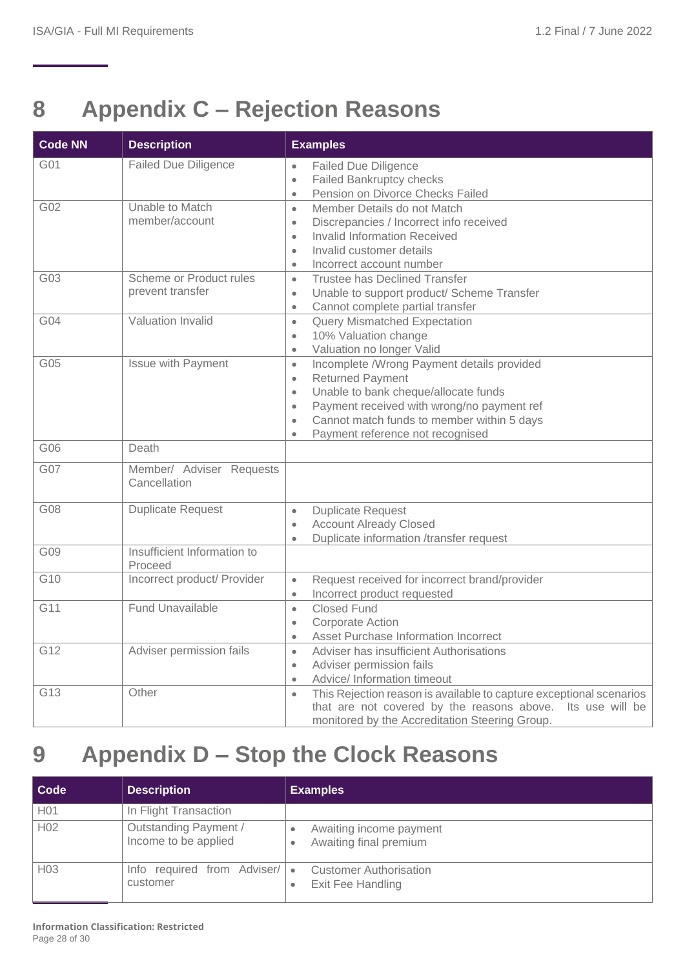## <span id="page-27-0"></span>**8 Appendix C – Rejection Reasons**

| <b>Code NN</b>  | <b>Description</b>                          | <b>Examples</b>                                                                                                                                                                                                                                                                                                             |
|-----------------|---------------------------------------------|-----------------------------------------------------------------------------------------------------------------------------------------------------------------------------------------------------------------------------------------------------------------------------------------------------------------------------|
| G01             | <b>Failed Due Diligence</b>                 | <b>Failed Due Diligence</b><br>$\bullet$<br>Failed Bankruptcy checks<br>$\bullet$<br>Pension on Divorce Checks Failed<br>$\bullet$                                                                                                                                                                                          |
| G02             | Unable to Match<br>member/account           | Member Details do not Match<br>$\bullet$<br>Discrepancies / Incorrect info received<br>$\bullet$<br><b>Invalid Information Received</b><br>$\bullet$<br>Invalid customer details<br>$\bullet$<br>Incorrect account number<br>$\bullet$                                                                                      |
| G03             | Scheme or Product rules<br>prevent transfer | <b>Trustee has Declined Transfer</b><br>$\bullet$<br>Unable to support product/ Scheme Transfer<br>$\bullet$<br>Cannot complete partial transfer<br>$\bullet$                                                                                                                                                               |
| G <sub>04</sub> | <b>Valuation Invalid</b>                    | <b>Query Mismatched Expectation</b><br>$\bullet$<br>10% Valuation change<br>$\bullet$<br>Valuation no longer Valid<br>$\bullet$                                                                                                                                                                                             |
| G05             | Issue with Payment                          | Incomplete /Wrong Payment details provided<br>$\bullet$<br><b>Returned Payment</b><br>$\bullet$<br>Unable to bank cheque/allocate funds<br>$\bullet$<br>Payment received with wrong/no payment ref<br>$\bullet$<br>Cannot match funds to member within 5 days<br>$\bullet$<br>Payment reference not recognised<br>$\bullet$ |
| G06             | Death                                       |                                                                                                                                                                                                                                                                                                                             |
| <b>G07</b>      | Member/ Adviser Requests<br>Cancellation    |                                                                                                                                                                                                                                                                                                                             |
| G08             | <b>Duplicate Request</b>                    | <b>Duplicate Request</b><br>$\bullet$<br><b>Account Already Closed</b><br>$\bullet$<br>Duplicate information /transfer request<br>$\bullet$                                                                                                                                                                                 |
| G09             | Insufficient Information to<br>Proceed      |                                                                                                                                                                                                                                                                                                                             |
| G10             | Incorrect product/ Provider                 | Request received for incorrect brand/provider<br>$\bullet$<br>Incorrect product requested<br>$\bullet$                                                                                                                                                                                                                      |
| G11             | <b>Fund Unavailable</b>                     | <b>Closed Fund</b><br>$\bullet$<br><b>Corporate Action</b><br>$\bullet$<br>Asset Purchase Information Incorrect<br>$\bullet$                                                                                                                                                                                                |
| G12             | Adviser permission fails                    | Adviser has insufficient Authorisations<br>$\bullet$<br>Adviser permission fails<br>$\bullet$<br>Advice/ Information timeout<br>$\bullet$                                                                                                                                                                                   |
| G13             | Other                                       | This Rejection reason is available to capture exceptional scenarios<br>$\bullet$<br>that are not covered by the reasons above. Its use will be<br>monitored by the Accreditation Steering Group.                                                                                                                            |

## <span id="page-27-1"></span>**9 Appendix D – Stop the Clock Reasons**

| Code             | <b>Description</b>                            | <b>Examples</b>                                                 |
|------------------|-----------------------------------------------|-----------------------------------------------------------------|
| H <sub>0</sub> 1 | In Flight Transaction                         |                                                                 |
| H <sub>02</sub>  | Outstanding Payment /<br>Income to be applied | Awaiting income payment<br>٠<br>Awaiting final premium          |
| H <sub>03</sub>  | required from Adviser/<br>Info<br>customer    | <b>Customer Authorisation</b><br>$\bullet$<br>Exit Fee Handling |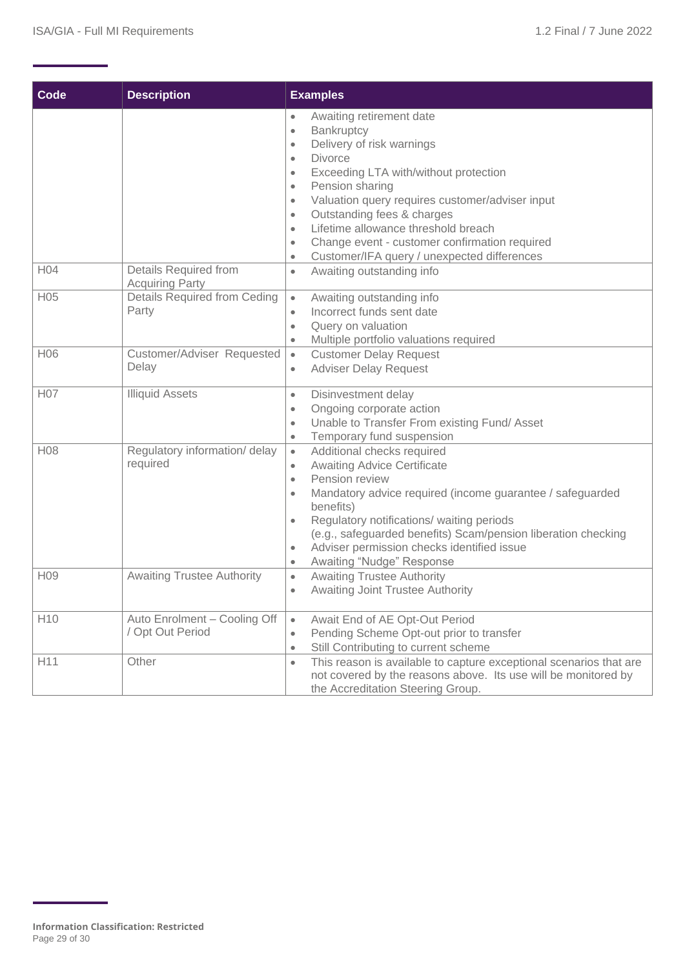<span id="page-28-0"></span>

| Code             | <b>Description</b>                               | <b>Examples</b>                                                                                                                                                                                                                                                                                                                                                                                                                                                                                                          |
|------------------|--------------------------------------------------|--------------------------------------------------------------------------------------------------------------------------------------------------------------------------------------------------------------------------------------------------------------------------------------------------------------------------------------------------------------------------------------------------------------------------------------------------------------------------------------------------------------------------|
|                  |                                                  | Awaiting retirement date<br>$\bullet$<br>Bankruptcy<br>$\bullet$<br>Delivery of risk warnings<br>$\bullet$<br><b>Divorce</b><br>$\bullet$<br>Exceeding LTA with/without protection<br>$\bullet$<br>Pension sharing<br>$\bullet$<br>Valuation query requires customer/adviser input<br>$\bullet$<br>Outstanding fees & charges<br>$\bullet$<br>Lifetime allowance threshold breach<br>$\bullet$<br>Change event - customer confirmation required<br>$\bullet$<br>Customer/IFA query / unexpected differences<br>$\bullet$ |
| H04              | Details Required from<br><b>Acquiring Party</b>  | Awaiting outstanding info<br>$\bullet$                                                                                                                                                                                                                                                                                                                                                                                                                                                                                   |
| H <sub>05</sub>  | Details Required from Ceding<br>Party            | Awaiting outstanding info<br>$\bullet$<br>Incorrect funds sent date<br>۰<br>Query on valuation<br>$\bullet$<br>Multiple portfolio valuations required<br>$\bullet$                                                                                                                                                                                                                                                                                                                                                       |
| H06              | Customer/Adviser Requested<br>Delay              | <b>Customer Delay Request</b><br>$\bullet$<br><b>Adviser Delay Request</b><br>$\bullet$                                                                                                                                                                                                                                                                                                                                                                                                                                  |
| H <sub>0</sub> 7 | <b>Illiquid Assets</b>                           | Disinvestment delay<br>$\bullet$<br>Ongoing corporate action<br>$\bullet$<br>Unable to Transfer From existing Fund/Asset<br>$\bullet$<br>Temporary fund suspension<br>$\bullet$                                                                                                                                                                                                                                                                                                                                          |
| H <sub>08</sub>  | Regulatory information/ delay<br>required        | Additional checks required<br>$\bullet$<br><b>Awaiting Advice Certificate</b><br>$\bullet$<br>Pension review<br>$\bullet$<br>Mandatory advice required (income guarantee / safeguarded<br>$\bullet$<br>benefits)<br>Regulatory notifications/ waiting periods<br>$\bullet$<br>(e.g., safeguarded benefits) Scam/pension liberation checking<br>Adviser permission checks identified issue<br>$\bullet$<br>Awaiting "Nudge" Response<br>$\bullet$                                                                         |
| H <sub>09</sub>  | <b>Awaiting Trustee Authority</b>                | <b>Awaiting Trustee Authority</b><br>$\bullet$<br><b>Awaiting Joint Trustee Authority</b><br>$\bullet$                                                                                                                                                                                                                                                                                                                                                                                                                   |
| H <sub>10</sub>  | Auto Enrolment - Cooling Off<br>/ Opt Out Period | Await End of AE Opt-Out Period<br>$\bullet$<br>Pending Scheme Opt-out prior to transfer<br>$\bullet$<br>Still Contributing to current scheme<br>$\bullet$                                                                                                                                                                                                                                                                                                                                                                |
| H11              | Other                                            | This reason is available to capture exceptional scenarios that are<br>$\bullet$<br>not covered by the reasons above. Its use will be monitored by<br>the Accreditation Steering Group.                                                                                                                                                                                                                                                                                                                                   |